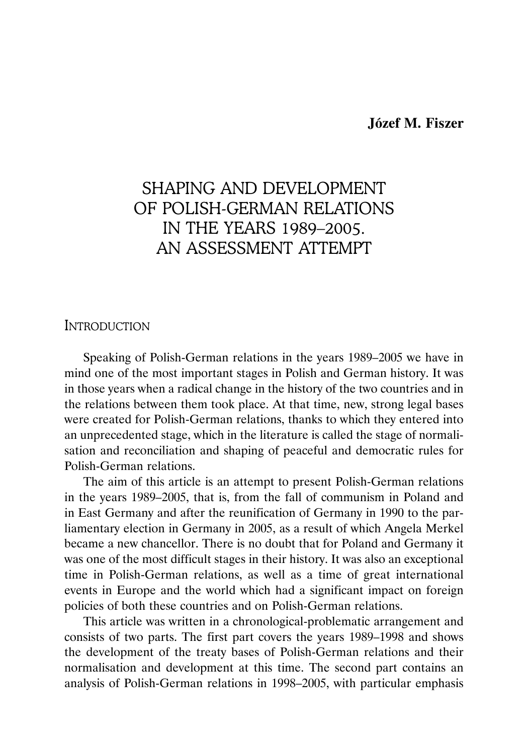## **Józef M. Fiszer**

# SHAPING AND DEVELOPMENT OF POLISH-GERMAN RELATIONS IN THE YEARS 1989–2005. AN ASSESSMENT ATTEMPT

## INTRODUCTION

Speaking of Polish-German relations in the years 1989–2005 we have in mind one of the most important stages in Polish and German history. It was in those years when a radical change in the history of the two countries and in the relations between them took place. At that time, new, strong legal bases were created for Polish-German relations, thanks to which they entered into an unprecedented stage, which in the literature is called the stage of normalisation and reconciliation and shaping of peaceful and democratic rules for Polish-German relations.

The aim of this article is an attempt to present Polish-German relations in the years 1989–2005, that is, from the fall of communism in Poland and in East Germany and after the reunification of Germany in 1990 to the parliamentary election in Germany in 2005, as a result of which Angela Merkel became a new chancellor. There is no doubt that for Poland and Germany it was one of the most difficult stages in their history. It was also an exceptional time in Polish-German relations, as well as a time of great international events in Europe and the world which had a significant impact on foreign policies of both these countries and on Polish-German relations.

This article was written in a chronological-problematic arrangement and consists of two parts. The first part covers the years 1989–1998 and shows the development of the treaty bases of Polish-German relations and their normalisation and development at this time. The second part contains an analysis of Polish-German relations in 1998–2005, with particular emphasis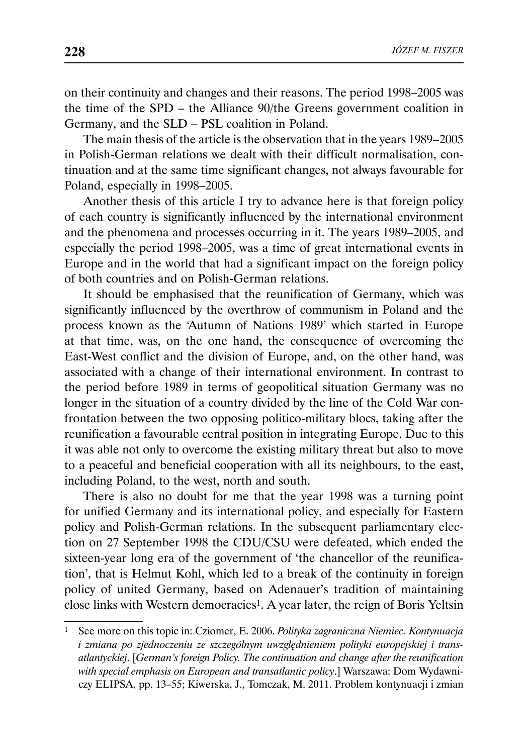on their continuity and changes and their reasons. The period 1998–2005 was the time of the SPD – the Alliance 90/the Greens government coalition in Germany, and the SLD – PSL coalition in Poland.

The main thesis of the article is the observation that in the years 1989–2005 in Polish-German relations we dealt with their difficult normalisation, continuation and at the same time significant changes, not always favourable for Poland, especially in 1998–2005.

Another thesis of this article I try to advance here is that foreign policy of each country is significantly influenced by the international environment and the phenomena and processes occurring in it. The years 1989–2005, and especially the period 1998–2005, was a time of great international events in Europe and in the world that had a significant impact on the foreign policy of both countries and on Polish-German relations.

It should be emphasised that the reunification of Germany, which was significantly influenced by the overthrow of communism in Poland and the process known as the 'Autumn of Nations 1989' which started in Europe at that time, was, on the one hand, the consequence of overcoming the East-West conflict and the division of Europe, and, on the other hand, was associated with a change of their international environment. In contrast to the period before 1989 in terms of geopolitical situation Germany was no longer in the situation of a country divided by the line of the Cold War confrontation between the two opposing politico-military blocs, taking after the reunification a favourable central position in integrating Europe. Due to this it was able not only to overcome the existing military threat but also to move to a peaceful and beneficial cooperation with all its neighbours, to the east, including Poland, to the west, north and south.

There is also no doubt for me that the year 1998 was a turning point for unified Germany and its international policy, and especially for Eastern policy and Polish-German relations. In the subsequent parliamentary election on 27 September 1998 the CDU/CSU were defeated, which ended the sixteen-year long era of the government of 'the chancellor of the reunification', that is Helmut Kohl, which led to a break of the continuity in foreign policy of united Germany, based on Adenauer's tradition of maintaining close links with Western democracies1. A year later, the reign of Boris Yeltsin

<sup>1</sup> See more on this topic in: Cziomer, E. 2006. *Polityka zagraniczna Niemiec. Kontynuacja i zmiana po zjednoczeniu ze szczególnym uwzględnieniem polityki europejskiej i transatlantyckiej*. [*German's foreign Policy. The continuation and change after the reunification with special emphasis on European and transatlantic policy*.] Warszawa: Dom Wydawniczy ELIPSA, pp. 13–55; Kiwerska, J., Tomczak, M. 2011. Problem kontynuacji i zmian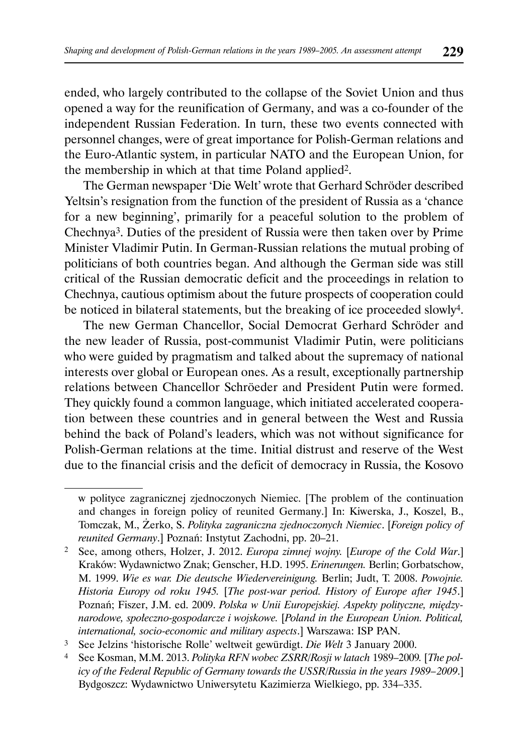ended, who largely contributed to the collapse of the Soviet Union and thus opened a way for the reunification of Germany, and was a co-founder of the independent Russian Federation. In turn, these two events connected with personnel changes, were of great importance for Polish-German relations and the Euro-Atlantic system, in particular NATO and the European Union, for the membership in which at that time Poland applied2.

The German newspaper 'Die Welt' wrote that Gerhard Schröder described Yeltsin's resignation from the function of the president of Russia as a 'chance for a new beginning', primarily for a peaceful solution to the problem of Chechnya3. Duties of the president of Russia were then taken over by Prime Minister Vladimir Putin. In German-Russian relations the mutual probing of politicians of both countries began. And although the German side was still critical of the Russian democratic deficit and the proceedings in relation to Chechnya, cautious optimism about the future prospects of cooperation could be noticed in bilateral statements, but the breaking of ice proceeded slowly4.

The new German Chancellor, Social Democrat Gerhard Schröder and the new leader of Russia, post-communist Vladimir Putin, were politicians who were guided by pragmatism and talked about the supremacy of national interests over global or European ones. As a result, exceptionally partnership relations between Chancellor Schröeder and President Putin were formed. They quickly found a common language, which initiated accelerated cooperation between these countries and in general between the West and Russia behind the back of Poland's leaders, which was not without significance for Polish-German relations at the time. Initial distrust and reserve of the West due to the financial crisis and the deficit of democracy in Russia, the Kosovo

w polityce zagranicznej zjednoczonych Niemiec. [The problem of the continuation and changes in foreign policy of reunited Germany.] In: Kiwerska, J., Koszel, B., Tomczak, M., Żerko, S. *Polityka zagraniczna zjednoczonych Niemiec*. [*Foreign policy of reunited Germany*.] Poznań: Instytut Zachodni, pp. 20–21.

<sup>2</sup> See, among others, Holzer, J. 2012. *Europa zimnej wojny.* [*Europe of the Cold War*.] Kraków: Wydawnictwo Znak; Genscher, H.D. 1995. *Erinerungen.* Berlin; Gorbatschow, M. 1999. *Wie es war. Die deutsche Wiedervereinigung.* Berlin; Judt, T. 2008. *Powojnie. Historia Europy od roku 1945.* [*The post-war period. History of Europe after 1945*.] Poznań; Fiszer, J.M. ed. 2009. *Polska w Unii Europejskiej. Aspekty polityczne, międzynarodowe, społeczno-gospodarcze i wojskowe.* [*Poland in the European Union. Political, international, socio-economic and military aspects*.] Warszawa: ISP PAN.

<sup>3</sup> See Jelzins 'historische Rolle' weltweit gewürdigt. *Die Welt* 3 January 2000.

<sup>4</sup> See Kosman, M.M. 2013. *Polityka RFN wobec ZSRR/Rosji w latach* 1989–2009*.* [*The policy of the Federal Republic of Germany towards the USSR/Russia in the years 1989 – 2009*.] Bydgoszcz: Wydawnictwo Uniwersytetu Kazimierza Wielkiego, pp. 334–335.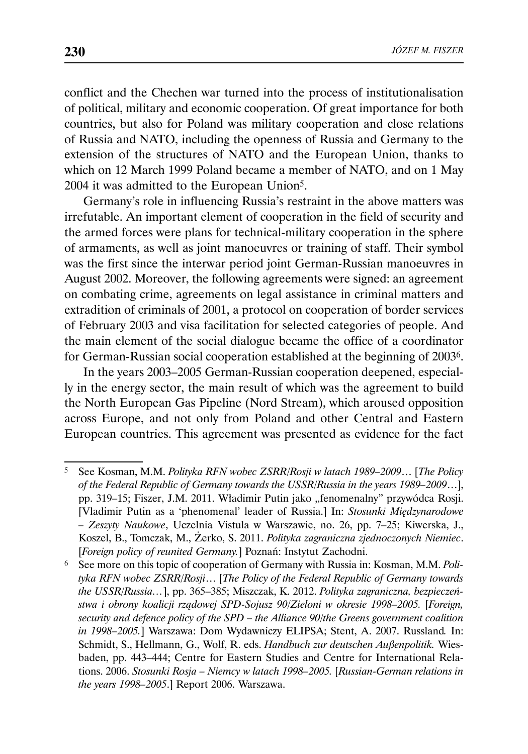conflict and the Chechen war turned into the process of institutionalisation of political, military and economic cooperation. Of great importance for both countries, but also for Poland was military cooperation and close relations of Russia and NATO, including the openness of Russia and Germany to the extension of the structures of NATO and the European Union, thanks to which on 12 March 1999 Poland became a member of NATO, and on 1 May 2004 it was admitted to the European Union5.

Germany's role in influencing Russia's restraint in the above matters was irrefutable. An important element of cooperation in the field of security and the armed forces were plans for technical-military cooperation in the sphere of armaments, as well as joint manoeuvres or training of staff. Their symbol was the first since the interwar period joint German-Russian manoeuvres in August 2002. Moreover, the following agreements were signed: an agreement on combating crime, agreements on legal assistance in criminal matters and extradition of criminals of 2001, a protocol on cooperation of border services of February 2003 and visa facilitation for selected categories of people. And the main element of the social dialogue became the office of a coordinator for German-Russian social cooperation established at the beginning of 20036.

In the years 2003–2005 German-Russian cooperation deepened, especially in the energy sector, the main result of which was the agreement to build the North European Gas Pipeline (Nord Stream), which aroused opposition across Europe, and not only from Poland and other Central and Eastern European countries. This agreement was presented as evidence for the fact

6 See more on this topic of cooperation of Germany with Russia in: Kosman, M.M. *Polityka RFN wobec ZSRR/Rosji*… [*The Policy of the Federal Republic of Germany towards the USSR/Russia…*], pp. 365–385; Miszczak, K. 2012. *Polityka zagraniczna, bezpieczeństwa i obrony koalicji rządowej SPD-Sojusz 90/Zieloni w okresie 1998–2005.* [*Foreign, security and defence policy of the SPD – the Alliance 90/the Greens government coalition in 1998–2005.*] Warszawa: Dom Wydawniczy ELIPSA; Stent, A. 2007. Russland*.* In: Schmidt, S., Hellmann, G., Wolf, R. eds. *Handbuch zur deutschen Außenpolitik.* Wiesbaden, pp. 443–444; Centre for Eastern Studies and Centre for International Relations. 2006. *Stosunki Rosja – Niemcy w latach 1998–2005.* [*Russian-German relations in the years 1998–2005*.] Report 2006. Warszawa.

<sup>5</sup> See Kosman, M.M. *Polityka RFN wobec ZSRR/Rosji w latach 1989–2009*… [*The Policy of the Federal Republic of Germany towards the USSR/Russia in the years 1989–2009*…], pp. 319–15; Fiszer, J.M. 2011. Władimir Putin jako "fenomenalny" przywódca Rosji. [Vladimir Putin as a 'phenomenal' leader of Russia.] In: *Stosunki Międzynarodowe – Zeszyty Naukowe*, Uczelnia Vistula w Warszawie, no. 26, pp. 7–25; Kiwerska, J., Koszel, B., Tomczak, M., Żerko, S. 2011. *Polityka zagraniczna zjednoczonych Niemiec*. [*Foreign policy of reunited Germany.*] Poznań: Instytut Zachodni.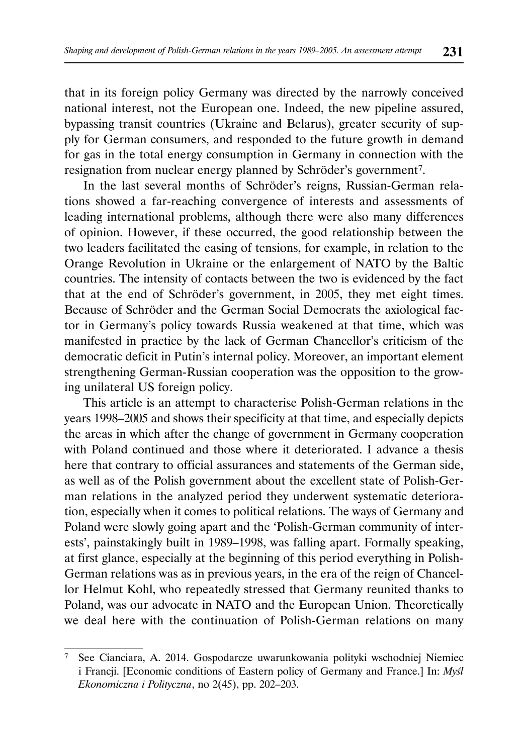that in its foreign policy Germany was directed by the narrowly conceived national interest, not the European one. Indeed, the new pipeline assured, bypassing transit countries (Ukraine and Belarus), greater security of supply for German consumers, and responded to the future growth in demand for gas in the total energy consumption in Germany in connection with the resignation from nuclear energy planned by Schröder's government7.

In the last several months of Schröder's reigns, Russian-German relations showed a far-reaching convergence of interests and assessments of leading international problems, although there were also many differences of opinion. However, if these occurred, the good relationship between the two leaders facilitated the easing of tensions, for example, in relation to the Orange Revolution in Ukraine or the enlargement of NATO by the Baltic countries. The intensity of contacts between the two is evidenced by the fact that at the end of Schröder's government, in 2005, they met eight times. Because of Schröder and the German Social Democrats the axiological factor in Germany's policy towards Russia weakened at that time, which was manifested in practice by the lack of German Chancellor's criticism of the democratic deficit in Putin's internal policy. Moreover, an important element strengthening German-Russian cooperation was the opposition to the growing unilateral US foreign policy.

This article is an attempt to characterise Polish-German relations in the years 1998–2005 and shows their specificity at that time, and especially depicts the areas in which after the change of government in Germany cooperation with Poland continued and those where it deteriorated. I advance a thesis here that contrary to official assurances and statements of the German side, as well as of the Polish government about the excellent state of Polish-German relations in the analyzed period they underwent systematic deterioration, especially when it comes to political relations. The ways of Germany and Poland were slowly going apart and the 'Polish-German community of interests', painstakingly built in 1989–1998, was falling apart. Formally speaking, at first glance, especially at the beginning of this period everything in Polish-German relations was as in previous years, in the era of the reign of Chancellor Helmut Kohl, who repeatedly stressed that Germany reunited thanks to Poland, was our advocate in NATO and the European Union. Theoretically we deal here with the continuation of Polish-German relations on many

<sup>7</sup> See Cianciara, A. 2014. Gospodarcze uwarunkowania polityki wschodniej Niemiec i Francji. [Economic conditions of Eastern policy of Germany and France.] In: *Myśl Ekonomiczna i Polityczna*, no 2(45), pp. 202–203.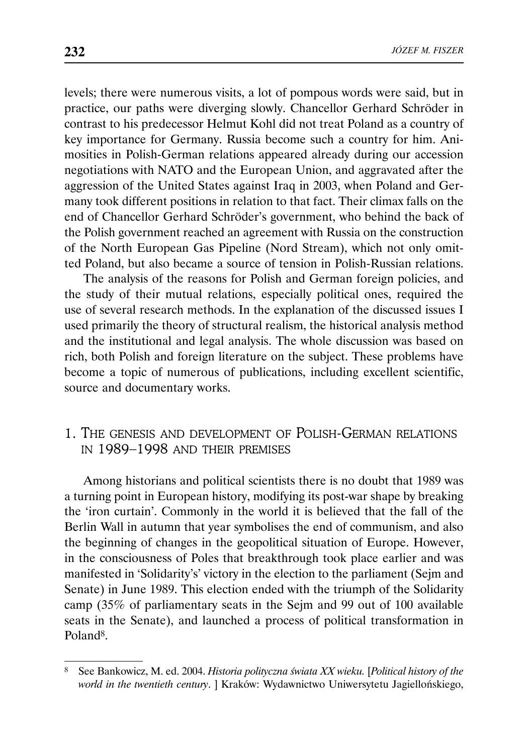levels; there were numerous visits, a lot of pompous words were said, but in practice, our paths were diverging slowly. Chancellor Gerhard Schröder in contrast to his predecessor Helmut Kohl did not treat Poland as a country of key importance for Germany. Russia become such a country for him. Animosities in Polish-German relations appeared already during our accession negotiations with NATO and the European Union, and aggravated after the aggression of the United States against Iraq in 2003, when Poland and Germany took different positions in relation to that fact. Their climax falls on the end of Chancellor Gerhard Schröder's government, who behind the back of the Polish government reached an agreement with Russia on the construction of the North European Gas Pipeline (Nord Stream), which not only omitted Poland, but also became a source of tension in Polish-Russian relations.

The analysis of the reasons for Polish and German foreign policies, and the study of their mutual relations, especially political ones, required the use of several research methods. In the explanation of the discussed issues I used primarily the theory of structural realism, the historical analysis method and the institutional and legal analysis. The whole discussion was based on rich, both Polish and foreign literature on the subject. These problems have become a topic of numerous of publications, including excellent scientific, source and documentary works.

# 1. THE GENESIS AND DEVELOPMENT OF POLISH-GERMAN RELATIONS IN 1989–1998 AND THEIR PREMISES

Among historians and political scientists there is no doubt that 1989 was a turning point in European history, modifying its post-war shape by breaking the 'iron curtain'. Commonly in the world it is believed that the fall of the Berlin Wall in autumn that year symbolises the end of communism, and also the beginning of changes in the geopolitical situation of Europe. However, in the consciousness of Poles that breakthrough took place earlier and was manifested in 'Solidarity's' victory in the election to the parliament (Sejm and Senate) in June 1989. This election ended with the triumph of the Solidarity camp (35% of parliamentary seats in the Sejm and 99 out of 100 available seats in the Senate), and launched a process of political transformation in Poland8.

<sup>8</sup> See Bankowicz, M. ed. 2004. *Historia polityczna świata XX wieku.* [*Political history of the world in the twentieth century*. ] Kraków: Wydawnictwo Uniwersytetu Jagiellońskiego,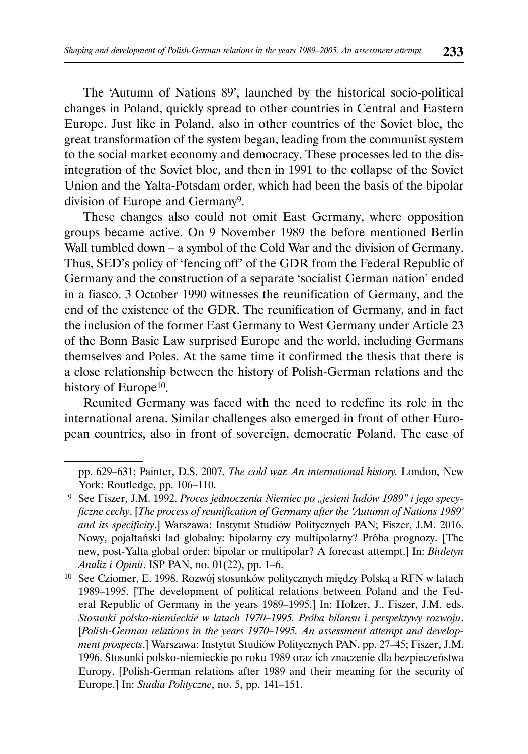The 'Autumn of Nations 89', launched by the historical socio-political changes in Poland, quickly spread to other countries in Central and Eastern Europe. Just like in Poland, also in other countries of the Soviet bloc, the great transformation of the system began, leading from the communist system to the social market economy and democracy. These processes led to the disintegration of the Soviet bloc, and then in 1991 to the collapse of the Soviet Union and the Yalta-Potsdam order, which had been the basis of the bipolar division of Europe and Germany9.

These changes also could not omit East Germany, where opposition groups became active. On 9 November 1989 the before mentioned Berlin Wall tumbled down – a symbol of the Cold War and the division of Germany. Thus, SED's policy of 'fencing off' of the GDR from the Federal Republic of Germany and the construction of a separate 'socialist German nation' ended in a fiasco. 3 October 1990 witnesses the reunification of Germany, and the end of the existence of the GDR. The reunification of Germany, and in fact the inclusion of the former East Germany to West Germany under Article 23 of the Bonn Basic Law surprised Europe and the world, including Germans themselves and Poles. At the same time it confirmed the thesis that there is a close relationship between the history of Polish-German relations and the history of Europe<sup>10</sup>.

Reunited Germany was faced with the need to redefine its role in the international arena. Similar challenges also emerged in front of other European countries, also in front of sovereign, democratic Poland. The case of

pp. 629–631; Painter, D.S. 2007. *The cold war. An international history.* London, New York: Routledge, pp. 106–110.

<sup>&</sup>lt;sup>9</sup> See Fiszer, J.M. 1992. *Proces jednoczenia Niemiec po "jesieni ludów 1989" i jego specyficzne cechy*. [*The process of reunification of Germany after the 'Autumn of Nations 1989' and its specificity*.] Warszawa: Instytut Studiów Politycznych PAN; Fiszer, J.M. 2016. Nowy, pojałtański ład globalny: bipolarny czy multipolarny? Próba prognozy. [The new, post-Yalta global order: bipolar or multipolar? A forecast attempt.] In: *Biuletyn Analiz i Opinii*. ISP PAN, no. 01(22), pp. 1–6.

<sup>10</sup> See Cziomer, E. 1998. Rozwój stosunków politycznych między Polską a RFN w latach 1989–1995. [The development of political relations between Poland and the Federal Republic of Germany in the years 1989–1995.] In: Holzer, J., Fiszer, J.M. eds. *Stosunki polsko-niemieckie w latach 1970–1995. Próba bilansu i perspektywy rozwoju*. [*Polish-German relations in the years 1970–1995. An assessment attempt and development prospects*.] Warszawa: Instytut Studiów Politycznych PAN, pp. 27–45; Fiszer, J.M. 1996. Stosunki polsko-niemieckie po roku 1989 oraz ich znaczenie dla bezpieczeństwa Europy. [Polish-German relations after 1989 and their meaning for the security of Europe.] In: *Studia Polityczne*, no. 5, pp. 141–151.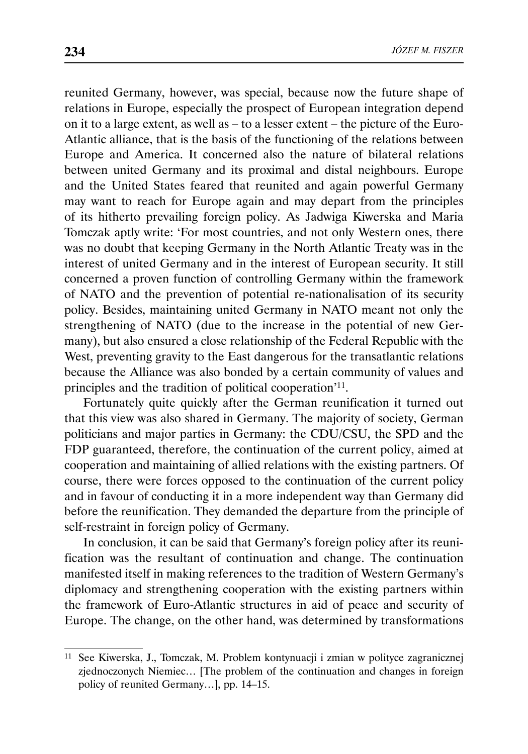reunited Germany, however, was special, because now the future shape of relations in Europe, especially the prospect of European integration depend on it to a large extent, as well as – to a lesser extent – the picture of the Euro-Atlantic alliance, that is the basis of the functioning of the relations between Europe and America. It concerned also the nature of bilateral relations between united Germany and its proximal and distal neighbours. Europe and the United States feared that reunited and again powerful Germany may want to reach for Europe again and may depart from the principles of its hitherto prevailing foreign policy. As Jadwiga Kiwerska and Maria Tomczak aptly write: 'For most countries, and not only Western ones, there was no doubt that keeping Germany in the North Atlantic Treaty was in the interest of united Germany and in the interest of European security. It still concerned a proven function of controlling Germany within the framework of NATO and the prevention of potential re-nationalisation of its security policy. Besides, maintaining united Germany in NATO meant not only the strengthening of NATO (due to the increase in the potential of new Germany), but also ensured a close relationship of the Federal Republic with the West, preventing gravity to the East dangerous for the transatlantic relations because the Alliance was also bonded by a certain community of values and principles and the tradition of political cooperation'11.

Fortunately quite quickly after the German reunification it turned out that this view was also shared in Germany. The majority of society, German politicians and major parties in Germany: the CDU/CSU, the SPD and the FDP guaranteed, therefore, the continuation of the current policy, aimed at cooperation and maintaining of allied relations with the existing partners. Of course, there were forces opposed to the continuation of the current policy and in favour of conducting it in a more independent way than Germany did before the reunification. They demanded the departure from the principle of self-restraint in foreign policy of Germany.

In conclusion, it can be said that Germany's foreign policy after its reunification was the resultant of continuation and change. The continuation manifested itself in making references to the tradition of Western Germany's diplomacy and strengthening cooperation with the existing partners within the framework of Euro-Atlantic structures in aid of peace and security of Europe. The change, on the other hand, was determined by transformations

<sup>11</sup> See Kiwerska, J., Tomczak, M. Problem kontynuacji i zmian w polityce zagranicznej zjednoczonych Niemiec… [The problem of the continuation and changes in foreign policy of reunited Germany…], pp. 14–15.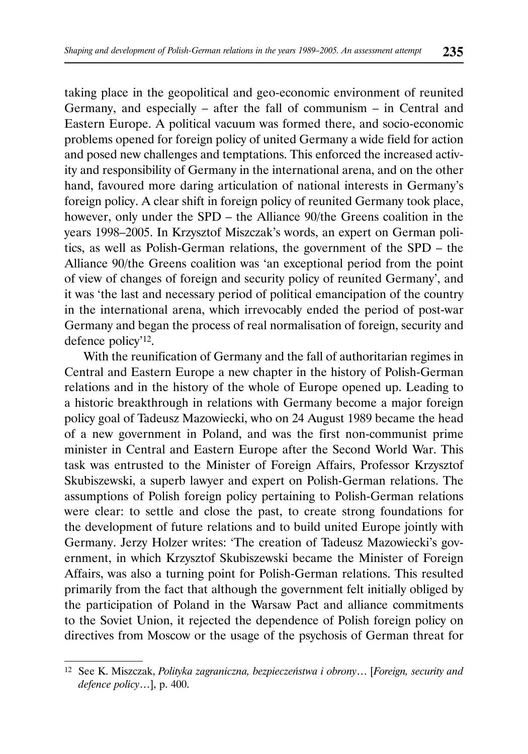taking place in the geopolitical and geo-economic environment of reunited Germany, and especially – after the fall of communism – in Central and Eastern Europe. A political vacuum was formed there, and socio-economic problems opened for foreign policy of united Germany a wide field for action and posed new challenges and temptations. This enforced the increased activity and responsibility of Germany in the international arena, and on the other hand, favoured more daring articulation of national interests in Germany's foreign policy. A clear shift in foreign policy of reunited Germany took place, however, only under the SPD – the Alliance 90/the Greens coalition in the years 1998–2005. In Krzysztof Miszczak's words, an expert on German politics, as well as Polish-German relations, the government of the SPD – the Alliance 90/the Greens coalition was 'an exceptional period from the point of view of changes of foreign and security policy of reunited Germany', and it was 'the last and necessary period of political emancipation of the country in the international arena, which irrevocably ended the period of post-war Germany and began the process of real normalisation of foreign, security and defence policy'12.

With the reunification of Germany and the fall of authoritarian regimes in Central and Eastern Europe a new chapter in the history of Polish-German relations and in the history of the whole of Europe opened up. Leading to a historic breakthrough in relations with Germany become a major foreign policy goal of Tadeusz Mazowiecki, who on 24 August 1989 became the head of a new government in Poland, and was the first non-communist prime minister in Central and Eastern Europe after the Second World War. This task was entrusted to the Minister of Foreign Affairs, Professor Krzysztof Skubiszewski, a superb lawyer and expert on Polish-German relations. The assumptions of Polish foreign policy pertaining to Polish-German relations were clear: to settle and close the past, to create strong foundations for the development of future relations and to build united Europe jointly with Germany. Jerzy Holzer writes: 'The creation of Tadeusz Mazowiecki's government, in which Krzysztof Skubiszewski became the Minister of Foreign Affairs, was also a turning point for Polish-German relations. This resulted primarily from the fact that although the government felt initially obliged by the participation of Poland in the Warsaw Pact and alliance commitments to the Soviet Union, it rejected the dependence of Polish foreign policy on directives from Moscow or the usage of the psychosis of German threat for

<sup>12</sup> See K. Miszczak, *Polityka zagraniczna, bezpieczeństwa i obrony*… [*Foreign, security and defence policy*…], p. 400.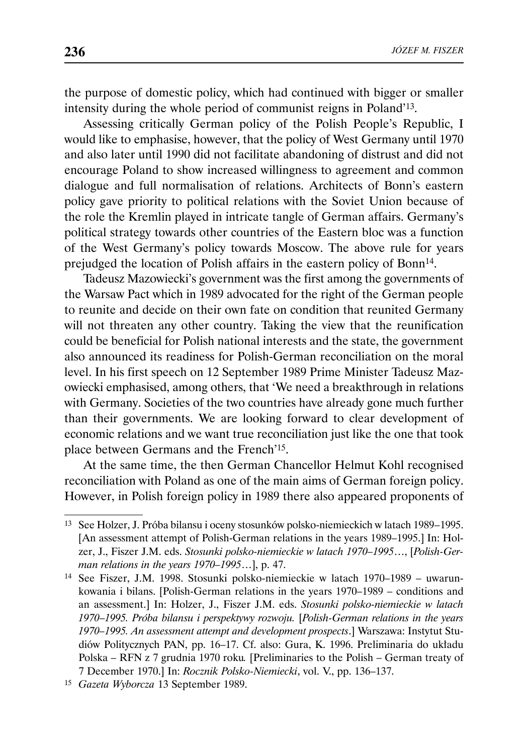the purpose of domestic policy, which had continued with bigger or smaller intensity during the whole period of communist reigns in Poland'13.

Assessing critically German policy of the Polish People's Republic, I would like to emphasise, however, that the policy of West Germany until 1970 and also later until 1990 did not facilitate abandoning of distrust and did not encourage Poland to show increased willingness to agreement and common dialogue and full normalisation of relations. Architects of Bonn's eastern policy gave priority to political relations with the Soviet Union because of the role the Kremlin played in intricate tangle of German affairs. Germany's political strategy towards other countries of the Eastern bloc was a function of the West Germany's policy towards Moscow. The above rule for years prejudged the location of Polish affairs in the eastern policy of Bonn<sup>14</sup>.

Tadeusz Mazowiecki's government was the first among the governments of the Warsaw Pact which in 1989 advocated for the right of the German people to reunite and decide on their own fate on condition that reunited Germany will not threaten any other country. Taking the view that the reunification could be beneficial for Polish national interests and the state, the government also announced its readiness for Polish-German reconciliation on the moral level. In his first speech on 12 September 1989 Prime Minister Tadeusz Mazowiecki emphasised, among others, that 'We need a breakthrough in relations with Germany. Societies of the two countries have already gone much further than their governments. We are looking forward to clear development of economic relations and we want true reconciliation just like the one that took place between Germans and the French'15.

At the same time, the then German Chancellor Helmut Kohl recognised reconciliation with Poland as one of the main aims of German foreign policy. However, in Polish foreign policy in 1989 there also appeared proponents of

<sup>13</sup> See Holzer, J. Próba bilansu i oceny stosunków polsko-niemieckich w latach 1989 – 1995. [An assessment attempt of Polish-German relations in the years 1989–1995.] In: Holzer, J., Fiszer J.M. eds. *Stosunki polsko-niemieckie w latach 1970–1995*…, [*Polish-German relations in the years 1970–1995*…], p. 47.

<sup>14</sup> See Fiszer, J.M. 1998. Stosunki polsko-niemieckie w latach 1970–1989 – uwarunkowania i bilans. [Polish-German relations in the years 1970–1989 – conditions and an assessment.] In: Holzer, J., Fiszer J.M. eds. *Stosunki polsko-niemieckie w latach 1970*–*1995. Próba bilansu i perspektywy rozwoju.* [*Polish-German relations in the years 1970–1995. An assessment attempt and development prospects*.] Warszawa: Instytut Studiów Politycznych PAN, pp. 16–17. Cf. also: Gura, K. 1996. Preliminaria do układu Polska – RFN z 7 grudnia 1970 roku*.* [Preliminaries to the Polish – German treaty of 7 December 1970.] In: *Rocznik Polsko-Niemiecki*, vol. V., pp. 136–137.

<sup>15</sup> *Gazeta Wyborcza* 13 September 1989.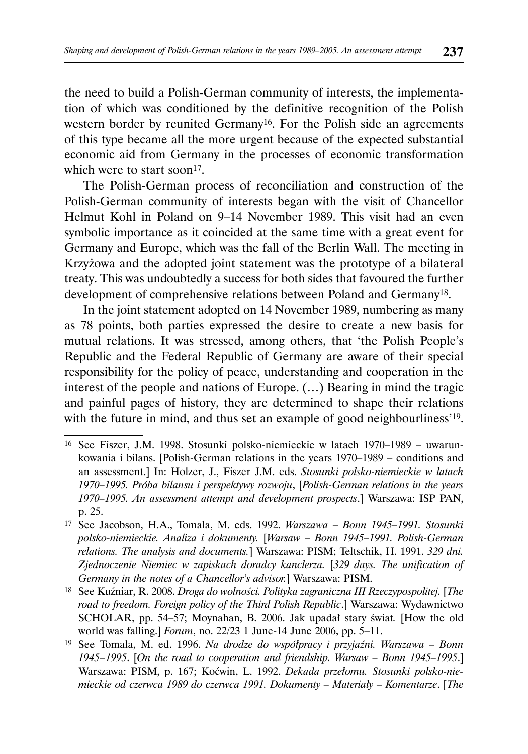the need to build a Polish-German community of interests, the implementation of which was conditioned by the definitive recognition of the Polish western border by reunited Germany<sup>16</sup>. For the Polish side an agreements of this type became all the more urgent because of the expected substantial economic aid from Germany in the processes of economic transformation which were to start soon<sup>17</sup>.

The Polish-German process of reconciliation and construction of the Polish-German community of interests began with the visit of Chancellor Helmut Kohl in Poland on 9–14 November 1989. This visit had an even symbolic importance as it coincided at the same time with a great event for Germany and Europe, which was the fall of the Berlin Wall. The meeting in Krzyżowa and the adopted joint statement was the prototype of a bilateral treaty. This was undoubtedly a success for both sides that favoured the further development of comprehensive relations between Poland and Germany18.

In the joint statement adopted on 14 November 1989, numbering as many as 78 points, both parties expressed the desire to create a new basis for mutual relations. It was stressed, among others, that 'the Polish People's Republic and the Federal Republic of Germany are aware of their special responsibility for the policy of peace, understanding and cooperation in the interest of the people and nations of Europe. (…) Bearing in mind the tragic and painful pages of history, they are determined to shape their relations with the future in mind, and thus set an example of good neighbourliness'<sup>19</sup>.

18 See Kuźniar, R. 2008. *Droga do wolności. Polityka zagraniczna III Rzeczypospolitej.* [*The road to freedom. Foreign policy of the Third Polish Republic*.] Warszawa: Wydawnictwo SCHOLAR, pp. 54–57; Moynahan, B. 2006. Jak upadał stary świat*.* [How the old world was falling.] *Forum*, no. 22/23 1 June-14 June 2006, pp. 5–11.

<sup>16</sup> See Fiszer, J.M. 1998. Stosunki polsko-niemieckie w latach 1970–1989 – uwarunkowania i bilans. [Polish-German relations in the years 1970–1989 – conditions and an assessment.] In: Holzer, J., Fiszer J.M. eds. *Stosunki polsko-niemieckie w latach 1970–1995. Próba bilansu i perspektywy rozwoju*, [*Polish-German relations in the years 1970–1995. An assessment attempt and development prospects*.] Warszawa: ISP PAN, p. 25.

<sup>17</sup> See Jacobson, H.A., Tomala, M. eds. 1992. *Warszawa – Bonn 1945–1991. Stosunki polsko-niemieckie. Analiza i dokumenty.* [*Warsaw – Bonn 1945–1991. Polish-German relations. The analysis and documents.*] Warszawa: PISM; Teltschik, H. 1991. *329 dni. Zjednoczenie Niemiec w zapiskach doradcy kanclerza.* [*329 days. The unification of Germany in the notes of a Chancellor's advisor.*] Warszawa: PISM.

<sup>19</sup> See Tomala, M. ed. 1996. *Na drodze do współpracy i przyjaźni. Warszawa – Bonn 1945 – 1995*. [*On the road to cooperation and friendship. Warsaw – Bonn 1945–1995*.] Warszawa: PISM, p. 167; Koćwin, L. 1992. *Dekada przełomu. Stosunki polsko-niemieckie od czerwca 1989 do czerwca 1991. Dokumenty – Materiały – Komentarze*. [*The*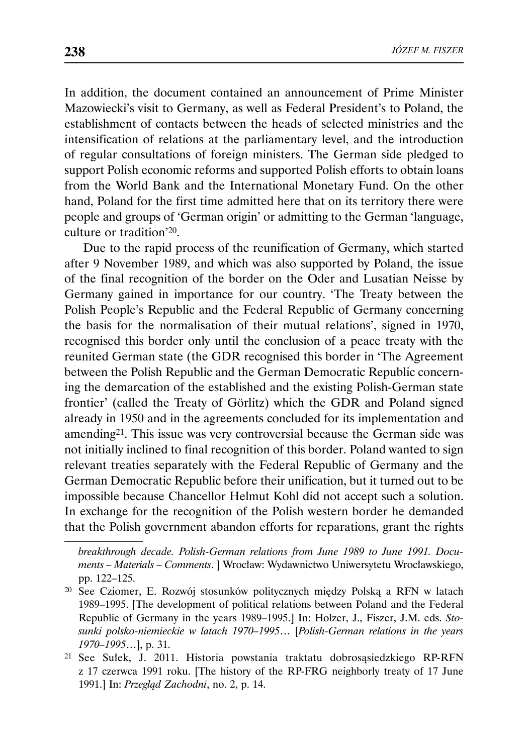In addition, the document contained an announcement of Prime Minister Mazowiecki's visit to Germany, as well as Federal President's to Poland, the establishment of contacts between the heads of selected ministries and the intensification of relations at the parliamentary level, and the introduction of regular consultations of foreign ministers. The German side pledged to support Polish economic reforms and supported Polish efforts to obtain loans from the World Bank and the International Monetary Fund. On the other hand, Poland for the first time admitted here that on its territory there were people and groups of 'German origin' or admitting to the German 'language, culture or tradition'20.

Due to the rapid process of the reunification of Germany, which started after 9 November 1989, and which was also supported by Poland, the issue of the final recognition of the border on the Oder and Lusatian Neisse by Germany gained in importance for our country. 'The Treaty between the Polish People's Republic and the Federal Republic of Germany concerning the basis for the normalisation of their mutual relations', signed in 1970, recognised this border only until the conclusion of a peace treaty with the reunited German state (the GDR recognised this border in 'The Agreement between the Polish Republic and the German Democratic Republic concerning the demarcation of the established and the existing Polish-German state frontier' (called the Treaty of Görlitz) which the GDR and Poland signed already in 1950 and in the agreements concluded for its implementation and amending21. This issue was very controversial because the German side was not initially inclined to final recognition of this border. Poland wanted to sign relevant treaties separately with the Federal Republic of Germany and the German Democratic Republic before their unification, but it turned out to be impossible because Chancellor Helmut Kohl did not accept such a solution. In exchange for the recognition of the Polish western border he demanded that the Polish government abandon efforts for reparations, grant the rights

*breakthrough decade. Polish-German relations from June 1989 to June 1991. Documents – Materials – Comments*. ] Wrocław: Wydawnictwo Uniwersytetu Wrocławskiego, pp. 122–125.

<sup>20</sup> See Cziomer, E. Rozwój stosunków politycznych między Polską a RFN w latach 1989–1995. [The development of political relations between Poland and the Federal Republic of Germany in the years 1989–1995.] In: Holzer, J., Fiszer, J.M. eds. *Stosunki polsko-niemieckie w latach 1970–1995*… [*Polish-German relations in the years 1970–1995*…], p. 31.

<sup>21</sup> See Sułek, J. 2011. Historia powstania traktatu dobrosąsiedzkiego RP-RFN z 17 czerwca 1991 roku. [The history of the RP-FRG neighborly treaty of 17 June 1991.] In: *Przegląd Zachodni*, no. 2, p. 14.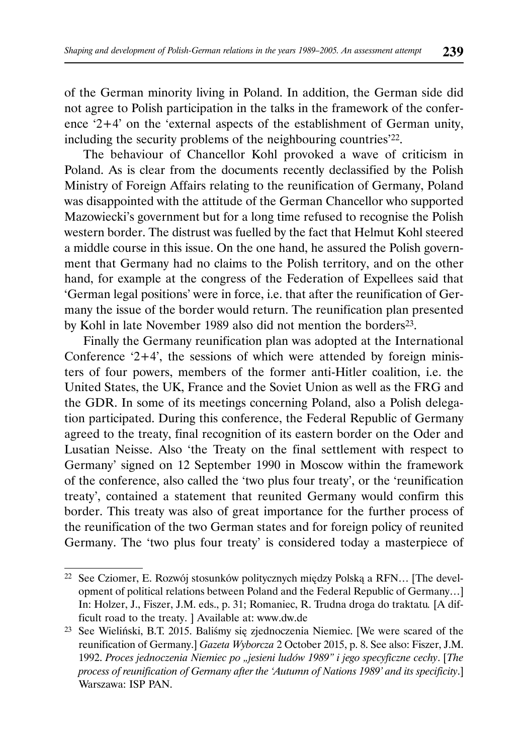of the German minority living in Poland. In addition, the German side did not agree to Polish participation in the talks in the framework of the conference '2+4' on the 'external aspects of the establishment of German unity, including the security problems of the neighbouring countries'22.

The behaviour of Chancellor Kohl provoked a wave of criticism in Poland. As is clear from the documents recently declassified by the Polish Ministry of Foreign Affairs relating to the reunification of Germany, Poland was disappointed with the attitude of the German Chancellor who supported Mazowiecki's government but for a long time refused to recognise the Polish western border. The distrust was fuelled by the fact that Helmut Kohl steered a middle course in this issue. On the one hand, he assured the Polish government that Germany had no claims to the Polish territory, and on the other hand, for example at the congress of the Federation of Expellees said that 'German legal positions' were in force, i.e. that after the reunification of Germany the issue of the border would return. The reunification plan presented by Kohl in late November 1989 also did not mention the borders<sup>23</sup>.

Finally the Germany reunification plan was adopted at the International Conference  $2+4$ ', the sessions of which were attended by foreign ministers of four powers, members of the former anti-Hitler coalition, i.e. the United States, the UK, France and the Soviet Union as well as the FRG and the GDR. In some of its meetings concerning Poland, also a Polish delegation participated. During this conference, the Federal Republic of Germany agreed to the treaty, final recognition of its eastern border on the Oder and Lusatian Neisse. Also 'the Treaty on the final settlement with respect to Germany' signed on 12 September 1990 in Moscow within the framework of the conference, also called the 'two plus four treaty', or the 'reunification treaty', contained a statement that reunited Germany would confirm this border. This treaty was also of great importance for the further process of the reunification of the two German states and for foreign policy of reunited Germany. The 'two plus four treaty' is considered today a masterpiece of

<sup>22</sup> See Cziomer, E. Rozwój stosunków politycznych między Polską a RFN… [The development of political relations between Poland and the Federal Republic of Germany…] In: Holzer, J., Fiszer, J.M. eds., p. 31; Romaniec, R. Trudna droga do traktatu*.* [A difficult road to the treaty. ] Available at: www.dw.de

<sup>23</sup> See Wieliński, B.T. 2015. Baliśmy się zjednoczenia Niemiec. [We were scared of the reunification of Germany.] *Gazeta Wyborcza* 2 October 2015, p. 8. See also: Fiszer, J.M. 1992. *Proces jednoczenia Niemiec po "jesieni ludów 1989" i jego specyficzne cechy*. [*The process of reunification of Germany after the 'Autumn of Nations 1989' and its specificity*.] Warszawa: ISP PAN.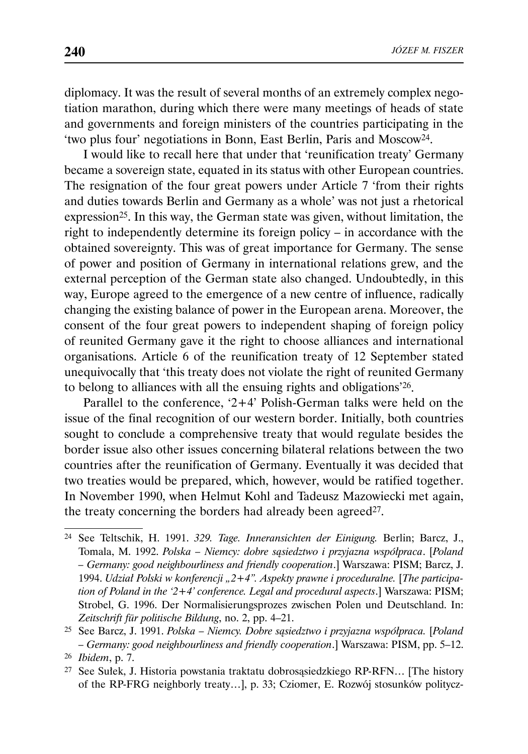diplomacy. It was the result of several months of an extremely complex negotiation marathon, during which there were many meetings of heads of state and governments and foreign ministers of the countries participating in the 'two plus four' negotiations in Bonn, East Berlin, Paris and Moscow24.

I would like to recall here that under that 'reunification treaty' Germany became a sovereign state, equated in its status with other European countries. The resignation of the four great powers under Article 7 'from their rights and duties towards Berlin and Germany as a whole' was not just a rhetorical expression<sup>25</sup>. In this way, the German state was given, without limitation, the right to independently determine its foreign policy – in accordance with the obtained sovereignty. This was of great importance for Germany. The sense of power and position of Germany in international relations grew, and the external perception of the German state also changed. Undoubtedly, in this way, Europe agreed to the emergence of a new centre of influence, radically changing the existing balance of power in the European arena. Moreover, the consent of the four great powers to independent shaping of foreign policy of reunited Germany gave it the right to choose alliances and international organisations. Article 6 of the reunification treaty of 12 September stated unequivocally that 'this treaty does not violate the right of reunited Germany to belong to alliances with all the ensuing rights and obligations'26.

Parallel to the conference, '2+4' Polish-German talks were held on the issue of the final recognition of our western border. Initially, both countries sought to conclude a comprehensive treaty that would regulate besides the border issue also other issues concerning bilateral relations between the two countries after the reunification of Germany. Eventually it was decided that two treaties would be prepared, which, however, would be ratified together. In November 1990, when Helmut Kohl and Tadeusz Mazowiecki met again, the treaty concerning the borders had already been agreed<sup>27</sup>.

<sup>24</sup> See Teltschik, H. 1991. *329. Tage. Inneransichten der Einigung.* Berlin; Barcz, J., Tomala, M. 1992. *Polska – Niemcy: dobre sąsiedztwo i przyjazna współpraca*. [*Poland – Germany: good neighbourliness and friendly cooperation*.] Warszawa: PISM; Barcz, J. 1994. *Udział Polski w konferencji "2+4". Aspekty prawne i proceduralne.* [*The participation of Poland in the '2+4' conference. Legal and procedural aspects*.] Warszawa: PISM; Strobel, G. 1996. Der Normalisierungsprozes zwischen Polen und Deutschland. In: *Zeitschrift für politische Bildung*, no. 2, pp. 4–21.

<sup>25</sup> See Barcz, J. 1991. *Polska – Niemcy. Dobre sąsiedztwo i przyjazna współpraca.* [*Poland – Germany: good neighbourliness and friendly cooperation*.] Warszawa: PISM, pp. 5–12. <sup>26</sup> *Ibidem*, p. 7.

<sup>27</sup> See Sułek, J. Historia powstania traktatu dobrosąsiedzkiego RP-RFN… [The history of the RP-FRG neighborly treaty…], p. 33; Cziomer, E. Rozwój stosunków politycz-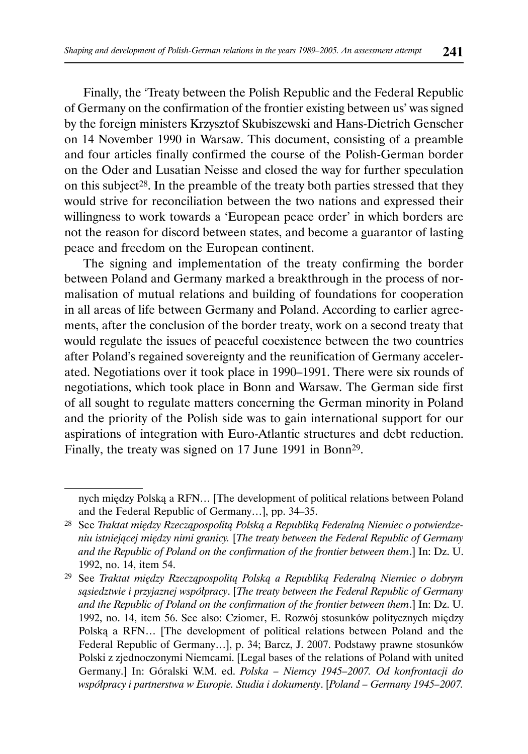Finally, the 'Treaty between the Polish Republic and the Federal Republic of Germany on the confirmation of the frontier existing between us' was signed by the foreign ministers Krzysztof Skubiszewski and Hans-Dietrich Genscher on 14 November 1990 in Warsaw. This document, consisting of a preamble and four articles finally confirmed the course of the Polish-German border on the Oder and Lusatian Neisse and closed the way for further speculation on this subject28. In the preamble of the treaty both parties stressed that they would strive for reconciliation between the two nations and expressed their willingness to work towards a 'European peace order' in which borders are not the reason for discord between states, and become a guarantor of lasting peace and freedom on the European continent.

The signing and implementation of the treaty confirming the border between Poland and Germany marked a breakthrough in the process of normalisation of mutual relations and building of foundations for cooperation in all areas of life between Germany and Poland. According to earlier agreements, after the conclusion of the border treaty, work on a second treaty that would regulate the issues of peaceful coexistence between the two countries after Poland's regained sovereignty and the reunification of Germany accelerated. Negotiations over it took place in 1990–1991. There were six rounds of negotiations, which took place in Bonn and Warsaw. The German side first of all sought to regulate matters concerning the German minority in Poland and the priority of the Polish side was to gain international support for our aspirations of integration with Euro-Atlantic structures and debt reduction. Finally, the treaty was signed on 17 June 1991 in Bonn29.

nych między Polską a RFN… [The development of political relations between Poland and the Federal Republic of Germany…], pp. 34–35.

<sup>28</sup> See *Traktat między Rzecząpospolitą Polską a Republiką Federalną Niemiec o potwierdzeniu istniejącej między nimi granicy.* [*The treaty between the Federal Republic of Germany and the Republic of Poland on the confirmation of the frontier between them*.] In: Dz. U. 1992, no. 14, item 54.

<sup>29</sup> See *Traktat między Rzecząpospolitą Polską a Republiką Federalną Niemiec o dobrym sąsiedztwie i przyjaznej współpracy*. [*The treaty between the Federal Republic of Germany and the Republic of Poland on the confirmation of the frontier between them*.] In: Dz. U. 1992, no. 14, item 56. See also: Cziomer, E. Rozwój stosunków politycznych między Polską a RFN… [The development of political relations between Poland and the Federal Republic of Germany…], p. 34; Barcz, J. 2007. Podstawy prawne stosunków Polski z zjednoczonymi Niemcami. [Legal bases of the relations of Poland with united Germany.] In: Góralski W.M. ed. *Polska – Niemcy 1945–2007. Od konfrontacji do współpracy i partnerstwa w Europie. Studia i dokumenty*. [*Poland – Germany 1945–2007.*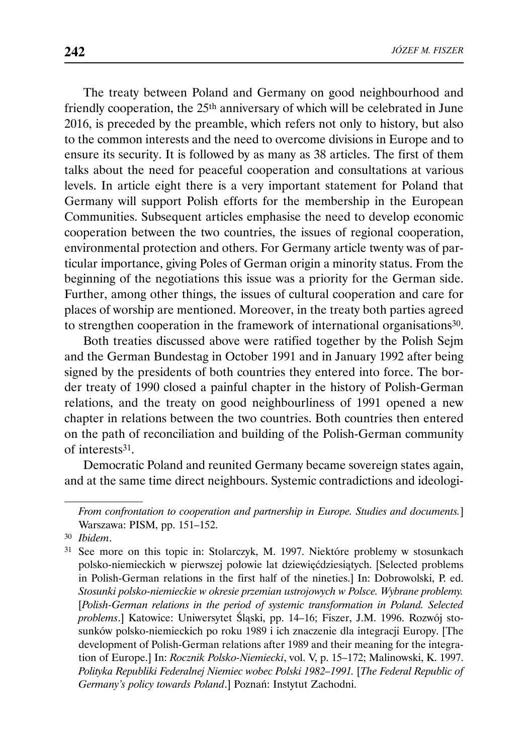The treaty between Poland and Germany on good neighbourhood and friendly cooperation, the 25th anniversary of which will be celebrated in June 2016, is preceded by the preamble, which refers not only to history, but also to the common interests and the need to overcome divisions in Europe and to ensure its security. It is followed by as many as 38 articles. The first of them talks about the need for peaceful cooperation and consultations at various levels. In article eight there is a very important statement for Poland that Germany will support Polish efforts for the membership in the European Communities. Subsequent articles emphasise the need to develop economic cooperation between the two countries, the issues of regional cooperation, environmental protection and others. For Germany article twenty was of particular importance, giving Poles of German origin a minority status. From the beginning of the negotiations this issue was a priority for the German side. Further, among other things, the issues of cultural cooperation and care for places of worship are mentioned. Moreover, in the treaty both parties agreed to strengthen cooperation in the framework of international organisations30.

Both treaties discussed above were ratified together by the Polish Sejm and the German Bundestag in October 1991 and in January 1992 after being signed by the presidents of both countries they entered into force. The border treaty of 1990 closed a painful chapter in the history of Polish-German relations, and the treaty on good neighbourliness of 1991 opened a new chapter in relations between the two countries. Both countries then entered on the path of reconciliation and building of the Polish-German community of interests31.

Democratic Poland and reunited Germany became sovereign states again, and at the same time direct neighbours. Systemic contradictions and ideologi-

*From confrontation to cooperation and partnership in Europe. Studies and documents.*] Warszawa: PISM, pp. 151–152.

<sup>30</sup> *Ibidem*.

<sup>31</sup> See more on this topic in: Stolarczyk, M. 1997. Niektóre problemy w stosunkach polsko-niemieckich w pierwszej połowie lat dziewięćdziesiątych. [Selected problems in Polish-German relations in the first half of the nineties.] In: Dobrowolski, P. ed. *Stosunki polsko-niemieckie w okresie przemian ustrojowych w Polsce. Wybrane problemy.*  [*Polish-German relations in the period of systemic transformation in Poland. Selected problems*.] Katowice: Uniwersytet Śląski, pp. 14–16; Fiszer, J.M. 1996. Rozwój stosunków polsko-niemieckich po roku 1989 i ich znaczenie dla integracji Europy. [The development of Polish-German relations after 1989 and their meaning for the integration of Europe.] In: *Rocznik Polsko-Niemiecki*, vol. V, p. 15–172; Malinowski, K. 1997. *Polityka Republiki Federalnej Niemiec wobec Polski 1982–1991.* [*The Federal Republic of Germany's policy towards Poland*.] Poznań: Instytut Zachodni.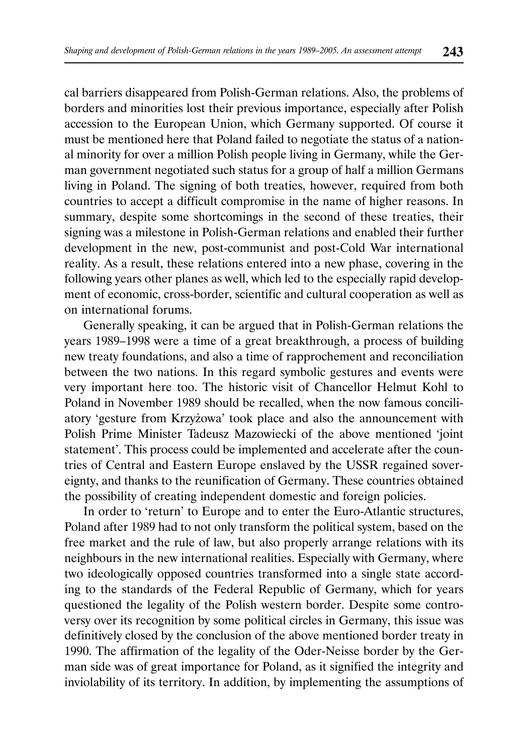cal barriers disappeared from Polish-German relations. Also, the problems of borders and minorities lost their previous importance, especially after Polish accession to the European Union, which Germany supported. Of course it must be mentioned here that Poland failed to negotiate the status of a national minority for over a million Polish people living in Germany, while the German government negotiated such status for a group of half a million Germans living in Poland. The signing of both treaties, however, required from both countries to accept a difficult compromise in the name of higher reasons. In summary, despite some shortcomings in the second of these treaties, their signing was a milestone in Polish-German relations and enabled their further development in the new, post-communist and post-Cold War international reality. As a result, these relations entered into a new phase, covering in the following years other planes as well, which led to the especially rapid development of economic, cross-border, scientific and cultural cooperation as well as on international forums.

Generally speaking, it can be argued that in Polish-German relations the years 1989–1998 were a time of a great breakthrough, a process of building new treaty foundations, and also a time of rapprochement and reconciliation between the two nations. In this regard symbolic gestures and events were very important here too. The historic visit of Chancellor Helmut Kohl to Poland in November 1989 should be recalled, when the now famous conciliatory 'gesture from Krzyżowa' took place and also the announcement with Polish Prime Minister Tadeusz Mazowiecki of the above mentioned 'joint statement'. This process could be implemented and accelerate after the countries of Central and Eastern Europe enslaved by the USSR regained sovereignty, and thanks to the reunification of Germany. These countries obtained the possibility of creating independent domestic and foreign policies.

In order to 'return' to Europe and to enter the Euro-Atlantic structures, Poland after 1989 had to not only transform the political system, based on the free market and the rule of law, but also properly arrange relations with its neighbours in the new international realities. Especially with Germany, where two ideologically opposed countries transformed into a single state according to the standards of the Federal Republic of Germany, which for years questioned the legality of the Polish western border. Despite some controversy over its recognition by some political circles in Germany, this issue was definitively closed by the conclusion of the above mentioned border treaty in 1990. The affirmation of the legality of the Oder-Neisse border by the German side was of great importance for Poland, as it signified the integrity and inviolability of its territory. In addition, by implementing the assumptions of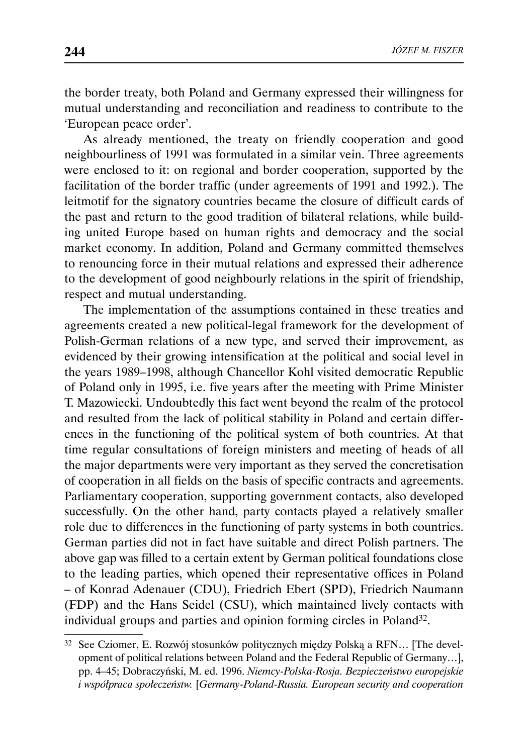the border treaty, both Poland and Germany expressed their willingness for mutual understanding and reconciliation and readiness to contribute to the 'European peace order'.

As already mentioned, the treaty on friendly cooperation and good neighbourliness of 1991 was formulated in a similar vein. Three agreements were enclosed to it: on regional and border cooperation, supported by the facilitation of the border traffic (under agreements of 1991 and 1992.). The leitmotif for the signatory countries became the closure of difficult cards of the past and return to the good tradition of bilateral relations, while building united Europe based on human rights and democracy and the social market economy. In addition, Poland and Germany committed themselves to renouncing force in their mutual relations and expressed their adherence to the development of good neighbourly relations in the spirit of friendship, respect and mutual understanding.

The implementation of the assumptions contained in these treaties and agreements created a new political-legal framework for the development of Polish-German relations of a new type, and served their improvement, as evidenced by their growing intensification at the political and social level in the years 1989–1998, although Chancellor Kohl visited democratic Republic of Poland only in 1995, i.e. five years after the meeting with Prime Minister T. Mazowiecki. Undoubtedly this fact went beyond the realm of the protocol and resulted from the lack of political stability in Poland and certain differences in the functioning of the political system of both countries. At that time regular consultations of foreign ministers and meeting of heads of all the major departments were very important as they served the concretisation of cooperation in all fields on the basis of specific contracts and agreements. Parliamentary cooperation, supporting government contacts, also developed successfully. On the other hand, party contacts played a relatively smaller role due to differences in the functioning of party systems in both countries. German parties did not in fact have suitable and direct Polish partners. The above gap was filled to a certain extent by German political foundations close to the leading parties, which opened their representative offices in Poland – of Konrad Adenauer (CDU), Friedrich Ebert (SPD), Friedrich Naumann (FDP) and the Hans Seidel (CSU), which maintained lively contacts with individual groups and parties and opinion forming circles in Poland32.

<sup>32</sup> See Cziomer, E. Rozwój stosunków politycznych między Polską a RFN… [The development of political relations between Poland and the Federal Republic of Germany…], pp. 4–45; Dobraczyński, M. ed. 1996. *Niemcy-Polska-Rosja. Bezpieczeństwo europejskie i współpraca społeczeństw.* [*Germany-Poland-Russia. European security and cooperation*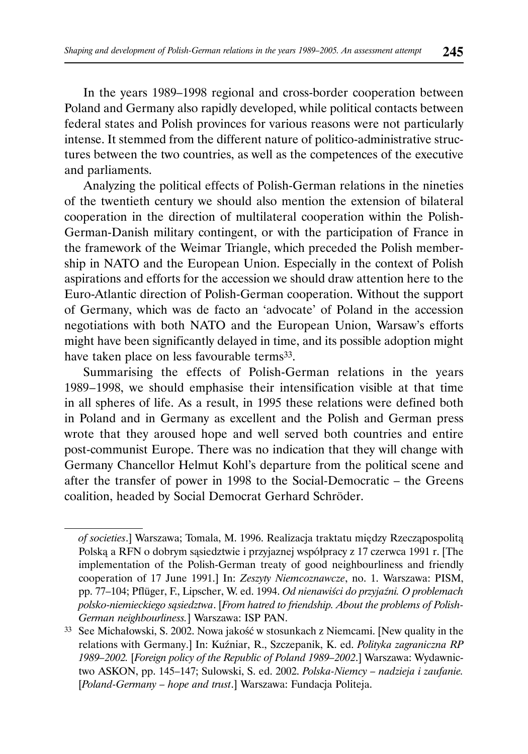In the years 1989–1998 regional and cross-border cooperation between Poland and Germany also rapidly developed, while political contacts between federal states and Polish provinces for various reasons were not particularly intense. It stemmed from the different nature of politico-administrative structures between the two countries, as well as the competences of the executive and parliaments.

Analyzing the political effects of Polish-German relations in the nineties of the twentieth century we should also mention the extension of bilateral cooperation in the direction of multilateral cooperation within the Polish-German-Danish military contingent, or with the participation of France in the framework of the Weimar Triangle, which preceded the Polish membership in NATO and the European Union. Especially in the context of Polish aspirations and efforts for the accession we should draw attention here to the Euro-Atlantic direction of Polish-German cooperation. Without the support of Germany, which was de facto an 'advocate' of Poland in the accession negotiations with both NATO and the European Union, Warsaw's efforts might have been significantly delayed in time, and its possible adoption might have taken place on less favourable terms<sup>33</sup>.

Summarising the effects of Polish-German relations in the years 1989 – 1998, we should emphasise their intensification visible at that time in all spheres of life. As a result, in 1995 these relations were defined both in Poland and in Germany as excellent and the Polish and German press wrote that they aroused hope and well served both countries and entire post-communist Europe. There was no indication that they will change with Germany Chancellor Helmut Kohl's departure from the political scene and after the transfer of power in 1998 to the Social-Democratic – the Greens coalition, headed by Social Democrat Gerhard Schröder.

*of societies*.] Warszawa; Tomala, M. 1996. Realizacja traktatu między Rzecząpospolitą Polską a RFN o dobrym sąsiedztwie i przyjaznej współpracy z 17 czerwca 1991 r. [The implementation of the Polish-German treaty of good neighbourliness and friendly cooperation of 17 June 1991.] In: *Zeszyty Niemcoznawcze*, no. 1. Warszawa: PISM, pp. 77–104; Pflüger, F., Lipscher, W. ed. 1994. *Od nienawiści do przyjaźni. O problemach polsko-niemieckiego sąsiedztwa*. [*From hatred to friendship. About the problems of Polish-German neighbourliness.*] Warszawa: ISP PAN.

<sup>33</sup> See Michałowski, S. 2002. Nowa jakość w stosunkach z Niemcami. [New quality in the relations with Germany.] In: Kuźniar, R., Szczepanik, K. ed. *Polityka zagraniczna RP 1989–2002.* [*Foreign policy of the Republic of Poland 1989–2002*.] Warszawa: Wydawnictwo ASKON, pp. 145–147; Sulowski, S. ed. 2002. *Polska-Niemcy – nadzieja i zaufanie.*  [*Poland-Germany – hope and trust*.] Warszawa: Fundacja Politeja.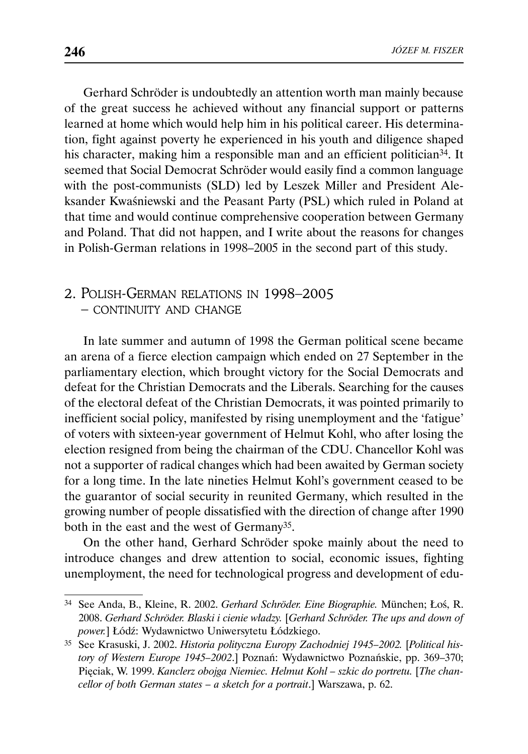Gerhard Schröder is undoubtedly an attention worth man mainly because of the great success he achieved without any financial support or patterns learned at home which would help him in his political career. His determination, fight against poverty he experienced in his youth and diligence shaped his character, making him a responsible man and an efficient politician<sup>34</sup>. It seemed that Social Democrat Schröder would easily find a common language with the post-communists (SLD) led by Leszek Miller and President Aleksander Kwaśniewski and the Peasant Party (PSL) which ruled in Poland at that time and would continue comprehensive cooperation between Germany and Poland. That did not happen, and I write about the reasons for changes in Polish-German relations in 1998–2005 in the second part of this study.

# 2. POLISH-GERMAN RELATIONS IN 1998–2005 – CONTINUITY AND CHANGE

In late summer and autumn of 1998 the German political scene became an arena of a fierce election campaign which ended on 27 September in the parliamentary election, which brought victory for the Social Democrats and defeat for the Christian Democrats and the Liberals. Searching for the causes of the electoral defeat of the Christian Democrats, it was pointed primarily to inefficient social policy, manifested by rising unemployment and the 'fatigue' of voters with sixteen-year government of Helmut Kohl, who after losing the election resigned from being the chairman of the CDU. Chancellor Kohl was not a supporter of radical changes which had been awaited by German society for a long time. In the late nineties Helmut Kohl's government ceased to be the guarantor of social security in reunited Germany, which resulted in the growing number of people dissatisfied with the direction of change after 1990 both in the east and the west of Germany35.

On the other hand, Gerhard Schröder spoke mainly about the need to introduce changes and drew attention to social, economic issues, fighting unemployment, the need for technological progress and development of edu-

<sup>34</sup> See Anda, B., Kleine, R. 2002. *Gerhard Schröder. Eine Biographie.* München; Łoś, R. 2008. *Gerhard Schröder. Blaski i cienie władzy.* [*Gerhard Schröder. The ups and down of power.*] Łódź: Wydawnictwo Uniwersytetu Łódzkiego.

<sup>35</sup> See Krasuski, J. 2002. *Historia polityczna Europy Zachodniej 1945–2002.* [*Political history of Western Europe 1945–2002*.] Poznań: Wydawnictwo Poznańskie, pp. 369–370; Pięciak, W. 1999. *Kanclerz obojga Niemiec. Helmut Kohl – szkic do portretu.* [*The chancellor of both German states – a sketch for a portrait*.] Warszawa, p. 62.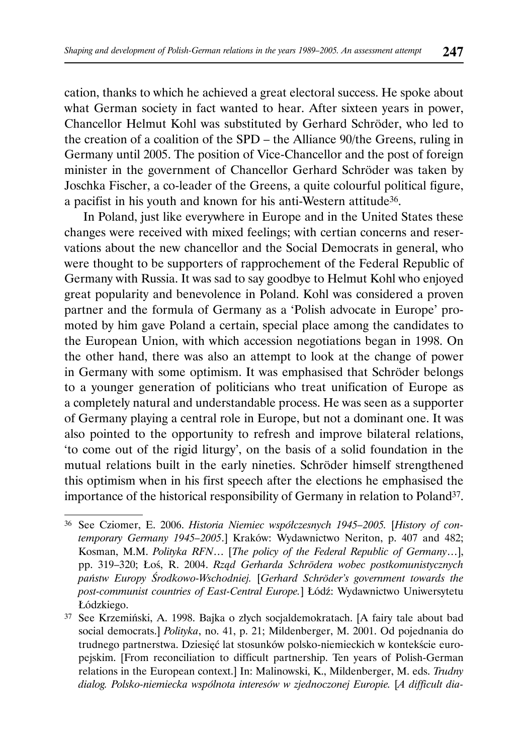cation, thanks to which he achieved a great electoral success. He spoke about what German society in fact wanted to hear. After sixteen years in power, Chancellor Helmut Kohl was substituted by Gerhard Schröder, who led to the creation of a coalition of the SPD – the Alliance 90/the Greens, ruling in Germany until 2005. The position of Vice-Chancellor and the post of foreign minister in the government of Chancellor Gerhard Schröder was taken by Joschka Fischer, a co-leader of the Greens, a quite colourful political figure, a pacifist in his youth and known for his anti-Western attitude36.

In Poland, just like everywhere in Europe and in the United States these changes were received with mixed feelings; with certian concerns and reservations about the new chancellor and the Social Democrats in general, who were thought to be supporters of rapprochement of the Federal Republic of Germany with Russia. It was sad to say goodbye to Helmut Kohl who enjoyed great popularity and benevolence in Poland. Kohl was considered a proven partner and the formula of Germany as a 'Polish advocate in Europe' promoted by him gave Poland a certain, special place among the candidates to the European Union, with which accession negotiations began in 1998. On the other hand, there was also an attempt to look at the change of power in Germany with some optimism. It was emphasised that Schröder belongs to a younger generation of politicians who treat unification of Europe as a completely natural and understandable process. He was seen as a supporter of Germany playing a central role in Europe, but not a dominant one. It was also pointed to the opportunity to refresh and improve bilateral relations, 'to come out of the rigid liturgy', on the basis of a solid foundation in the mutual relations built in the early nineties. Schröder himself strengthened this optimism when in his first speech after the elections he emphasised the importance of the historical responsibility of Germany in relation to Poland37.

<sup>36</sup> See Cziomer, E. 2006. *Historia Niemiec współczesnych 1945–2005.* [*History of contemporary Germany 1945–2005*.] Kraków: Wydawnictwo Neriton, p. 407 and 482; Kosman, M.M. *Polityka RFN*… [*The policy of the Federal Republic of Germany*…], pp. 319–320; Łoś, R. 2004. *Rząd Gerharda Schrödera wobec postkomunistycznych państw Europy Środkowo-Wschodniej.* [*Gerhard Schröder's government towards the post-communist countries of East-Central Europe.*] Łódź: Wydawnictwo Uniwersytetu Łódzkiego.

<sup>37</sup> See Krzemiński, A. 1998. Bajka o złych socjaldemokratach. [A fairy tale about bad social democrats.] *Polityka*, no. 41, p. 21; Mildenberger, M. 2001. Od pojednania do trudnego partnerstwa. Dziesięć lat stosunków polsko-niemieckich w kontekście europejskim. [From reconciliation to difficult partnership. Ten years of Polish-German relations in the European context.] In: Malinowski, K., Mildenberger, M. eds. *Trudny dialog. Polsko-niemiecka wspólnota interesów w zjednoczonej Europie.* [*A difficult dia-*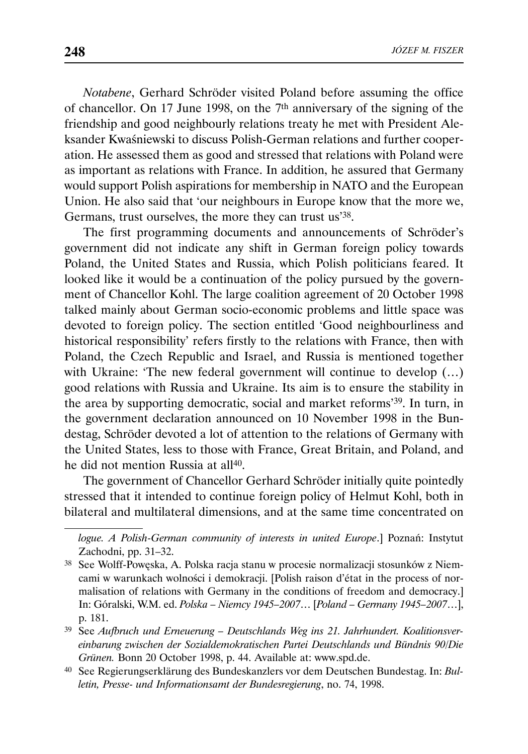*Notabene*, Gerhard Schröder visited Poland before assuming the office of chancellor. On 17 June 1998, on the 7th anniversary of the signing of the friendship and good neighbourly relations treaty he met with President Aleksander Kwaśniewski to discuss Polish-German relations and further cooperation. He assessed them as good and stressed that relations with Poland were as important as relations with France. In addition, he assured that Germany would support Polish aspirations for membership in NATO and the European Union. He also said that 'our neighbours in Europe know that the more we, Germans, trust ourselves, the more they can trust us'38.

The first programming documents and announcements of Schröder's government did not indicate any shift in German foreign policy towards Poland, the United States and Russia, which Polish politicians feared. It looked like it would be a continuation of the policy pursued by the government of Chancellor Kohl. The large coalition agreement of 20 October 1998 talked mainly about German socio-economic problems and little space was devoted to foreign policy. The section entitled 'Good neighbourliness and historical responsibility' refers firstly to the relations with France, then with Poland, the Czech Republic and Israel, and Russia is mentioned together with Ukraine: 'The new federal government will continue to develop  $(...)$ good relations with Russia and Ukraine. Its aim is to ensure the stability in the area by supporting democratic, social and market reforms'39. In turn, in the government declaration announced on 10 November 1998 in the Bundestag, Schröder devoted a lot of attention to the relations of Germany with the United States, less to those with France, Great Britain, and Poland, and he did not mention Russia at all40.

The government of Chancellor Gerhard Schröder initially quite pointedly stressed that it intended to continue foreign policy of Helmut Kohl, both in bilateral and multilateral dimensions, and at the same time concentrated on

*logue. A Polish-German community of interests in united Europe*.] Poznań: Instytut Zachodni, pp. 31–32.

<sup>38</sup> See Wolff-Powęska, A. Polska racja stanu w procesie normalizacji stosunków z Niemcami w warunkach wolności i demokracji. [Polish raison d'état in the process of normalisation of relations with Germany in the conditions of freedom and democracy.] In: Góralski, W.M. ed. *Polska – Niemcy 1945–2007*… [*Poland – Germany 1945–2007*…], p. 181.

<sup>39</sup> See *Aufbruch und Erneuerung – Deutschlands Weg ins 21. Jahrhundert. Koalitionsvereinbarung zwischen der Sozialdemokratischen Partei Deutschlands und Bündnis 90/Die Grünen.* Bonn 20 October 1998, p. 44. Available at: www.spd.de.

<sup>40</sup> See Regierungserklärung des Bundeskanzlers vor dem Deutschen Bundestag. In: *Bulletin, Presse- und Informationsamt der Bundesregierung*, no. 74, 1998.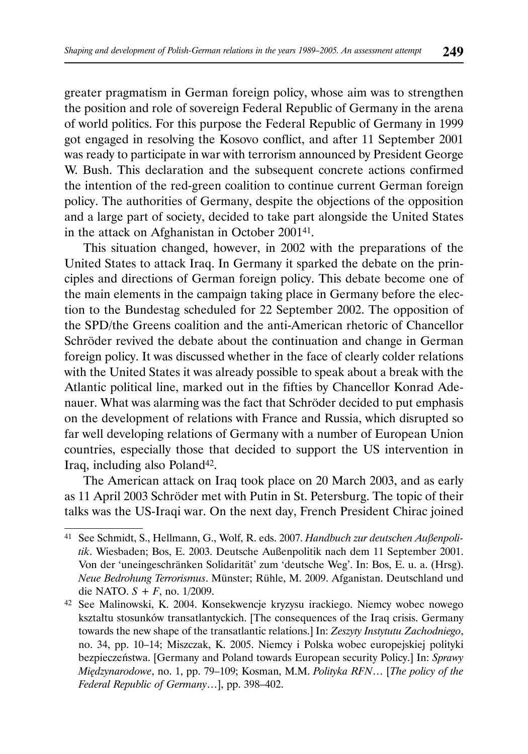greater pragmatism in German foreign policy, whose aim was to strengthen the position and role of sovereign Federal Republic of Germany in the arena of world politics. For this purpose the Federal Republic of Germany in 1999 got engaged in resolving the Kosovo conflict, and after 11 September 2001 was ready to participate in war with terrorism announced by President George W. Bush. This declaration and the subsequent concrete actions confirmed the intention of the red-green coalition to continue current German foreign policy. The authorities of Germany, despite the objections of the opposition and a large part of society, decided to take part alongside the United States in the attack on Afghanistan in October 200141.

This situation changed, however, in 2002 with the preparations of the United States to attack Iraq. In Germany it sparked the debate on the principles and directions of German foreign policy. This debate become one of the main elements in the campaign taking place in Germany before the election to the Bundestag scheduled for 22 September 2002. The opposition of the SPD/the Greens coalition and the anti-American rhetoric of Chancellor Schröder revived the debate about the continuation and change in German foreign policy. It was discussed whether in the face of clearly colder relations with the United States it was already possible to speak about a break with the Atlantic political line, marked out in the fifties by Chancellor Konrad Adenauer. What was alarming was the fact that Schröder decided to put emphasis on the development of relations with France and Russia, which disrupted so far well developing relations of Germany with a number of European Union countries, especially those that decided to support the US intervention in Iraq, including also Poland<sup>42</sup>.

The American attack on Iraq took place on 20 March 2003, and as early as 11 April 2003 Schröder met with Putin in St. Petersburg. The topic of their talks was the US-Iraqi war. On the next day, French President Chirac joined

<sup>41</sup> See Schmidt, S., Hellmann, G., Wolf, R. eds. 2007. *Handbuch zur deutschen Außenpolitik*. Wiesbaden; Bos, E. 2003. Deutsche Außenpolitik nach dem 11 September 2001. Von der 'uneingeschränken Solidarität' zum 'deutsche Weg'. In: Bos, E. u. a. (Hrsg). *Neue Bedrohung Terrorismus*. Münster; Rühle, M. 2009. Afganistan. Deutschland und die NATO. *S + F*, no. 1/2009.

<sup>42</sup> See Malinowski, K. 2004. Konsekwencje kryzysu irackiego. Niemcy wobec nowego kształtu stosunków transatlantyckich. [The consequences of the Iraq crisis. Germany towards the new shape of the transatlantic relations.] In: *Zeszyty Instytutu Zachodniego*, no. 34, pp. 10–14; Miszczak, K. 2005. Niemcy i Polska wobec europejskiej polityki bezpieczeństwa. [Germany and Poland towards European security Policy.] In: *Sprawy Międzynarodowe*, no. 1, pp. 79–109; Kosman, M.M. *Polityka RFN*… [*The policy of the Federal Republic of Germany*…], pp. 398–402.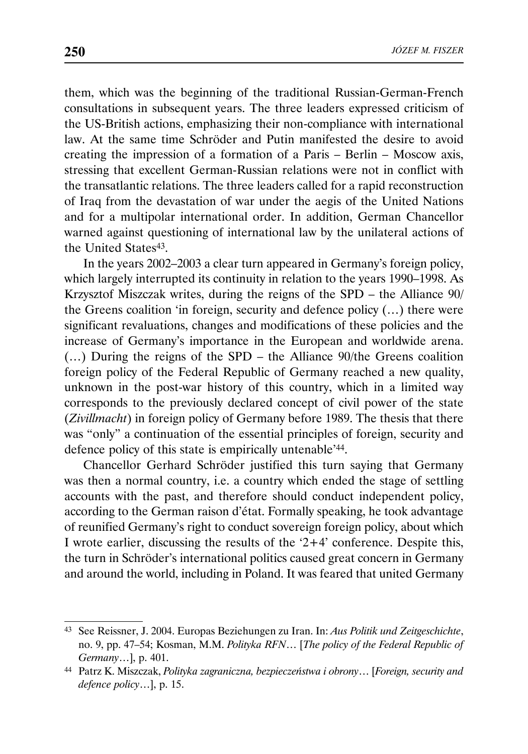them, which was the beginning of the traditional Russian-German-French consultations in subsequent years. The three leaders expressed criticism of the US-British actions, emphasizing their non-compliance with international law. At the same time Schröder and Putin manifested the desire to avoid creating the impression of a formation of a Paris – Berlin – Moscow axis, stressing that excellent German-Russian relations were not in conflict with the transatlantic relations. The three leaders called for a rapid reconstruction of Iraq from the devastation of war under the aegis of the United Nations and for a multipolar international order. In addition, German Chancellor warned against questioning of international law by the unilateral actions of the United States<sup>43</sup>.

In the years 2002–2003 a clear turn appeared in Germany's foreign policy, which largely interrupted its continuity in relation to the years 1990–1998. As Krzysztof Miszczak writes, during the reigns of the SPD – the Alliance 90/ the Greens coalition 'in foreign, security and defence policy (…) there were significant revaluations, changes and modifications of these policies and the increase of Germany's importance in the European and worldwide arena. (…) During the reigns of the SPD – the Alliance 90/the Greens coalition foreign policy of the Federal Republic of Germany reached a new quality, unknown in the post-war history of this country, which in a limited way corresponds to the previously declared concept of civil power of the state (*Zivillmacht*) in foreign policy of Germany before 1989. The thesis that there was "only" a continuation of the essential principles of foreign, security and defence policy of this state is empirically untenable'44.

Chancellor Gerhard Schröder justified this turn saying that Germany was then a normal country, i.e. a country which ended the stage of settling accounts with the past, and therefore should conduct independent policy, according to the German raison d'état. Formally speaking, he took advantage of reunified Germany's right to conduct sovereign foreign policy, about which I wrote earlier, discussing the results of the '2+4' conference. Despite this, the turn in Schröder's international politics caused great concern in Germany and around the world, including in Poland. It was feared that united Germany

<sup>43</sup> See Reissner, J. 2004. Europas Beziehungen zu Iran. In: *Aus Politik und Zeitgeschichte*, no. 9, pp. 47–54; Kosman, M.M. *Polityka RFN*… [*The policy of the Federal Republic of Germany*…], p. 401.

<sup>44</sup> Patrz K. Miszczak, *Polityka zagraniczna, bezpieczeństwa i obrony*… [*Foreign, security and defence policy*…], p. 15.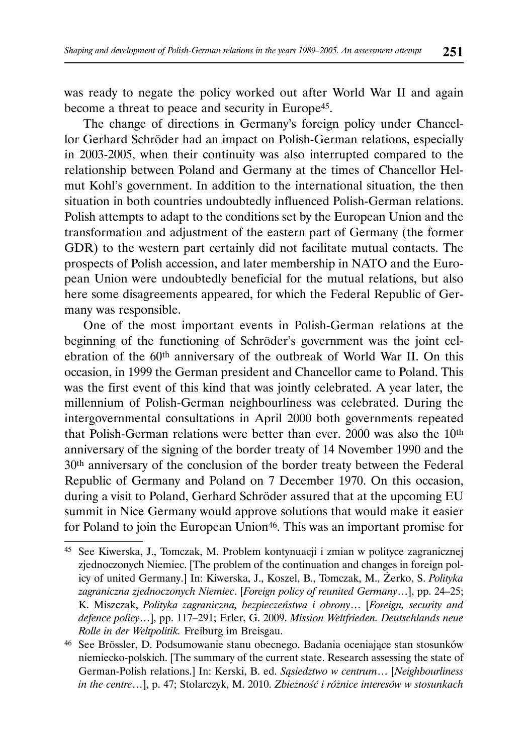was ready to negate the policy worked out after World War II and again become a threat to peace and security in Europe<sup>45</sup>.

The change of directions in Germany's foreign policy under Chancellor Gerhard Schröder had an impact on Polish-German relations, especially in 2003-2005, when their continuity was also interrupted compared to the relationship between Poland and Germany at the times of Chancellor Helmut Kohl's government. In addition to the international situation, the then situation in both countries undoubtedly influenced Polish-German relations. Polish attempts to adapt to the conditions set by the European Union and the transformation and adjustment of the eastern part of Germany (the former GDR) to the western part certainly did not facilitate mutual contacts. The prospects of Polish accession, and later membership in NATO and the European Union were undoubtedly beneficial for the mutual relations, but also here some disagreements appeared, for which the Federal Republic of Germany was responsible.

One of the most important events in Polish-German relations at the beginning of the functioning of Schröder's government was the joint celebration of the 60th anniversary of the outbreak of World War II. On this occasion, in 1999 the German president and Chancellor came to Poland. This was the first event of this kind that was jointly celebrated. A year later, the millennium of Polish-German neighbourliness was celebrated. During the intergovernmental consultations in April 2000 both governments repeated that Polish-German relations were better than ever. 2000 was also the 10th anniversary of the signing of the border treaty of 14 November 1990 and the 30th anniversary of the conclusion of the border treaty between the Federal Republic of Germany and Poland on 7 December 1970. On this occasion, during a visit to Poland, Gerhard Schröder assured that at the upcoming EU summit in Nice Germany would approve solutions that would make it easier for Poland to join the European Union<sup>46</sup>. This was an important promise for

<sup>45</sup> See Kiwerska, J., Tomczak, M. Problem kontynuacji i zmian w polityce zagranicznej zjednoczonych Niemiec. [The problem of the continuation and changes in foreign policy of united Germany.] In: Kiwerska, J., Koszel, B., Tomczak, M., Żerko, S. *Polityka zagraniczna zjednoczonych Niemiec*. [*Foreign policy of reunited Germany*…], pp. 24–25; K. Miszczak, *Polityka zagraniczna, bezpieczeństwa i obrony*… [*Foreign, security and defence policy*…], pp. 117–291; Erler, G. 2009. *Mission Weltfrieden. Deutschlands neue Rolle in der Weltpolitik.* Freiburg im Breisgau.

<sup>46</sup> See Brössler, D. Podsumowanie stanu obecnego. Badania oceniające stan stosunków niemiecko-polskich. [The summary of the current state. Research assessing the state of German-Polish relations.] In: Kerski, B. ed. *Sąsiedztwo w centrum*… [*Neighbourliness in the centre*…], p. 47; Stolarczyk, M. 2010. *Zbieżność i różnice interesów w stosunkach*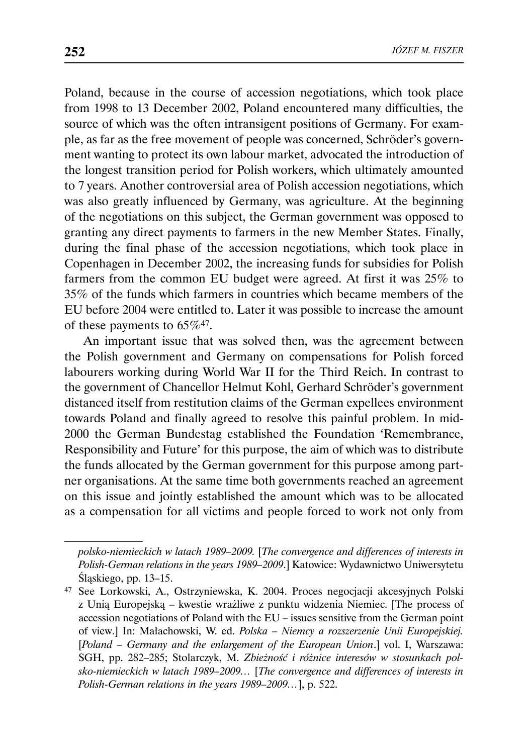Poland, because in the course of accession negotiations, which took place from 1998 to 13 December 2002, Poland encountered many difficulties, the source of which was the often intransigent positions of Germany. For example, as far as the free movement of people was concerned, Schröder's government wanting to protect its own labour market, advocated the introduction of the longest transition period for Polish workers, which ultimately amounted to 7 years. Another controversial area of Polish accession negotiations, which was also greatly influenced by Germany, was agriculture. At the beginning of the negotiations on this subject, the German government was opposed to granting any direct payments to farmers in the new Member States. Finally, during the final phase of the accession negotiations, which took place in Copenhagen in December 2002, the increasing funds for subsidies for Polish farmers from the common EU budget were agreed. At first it was 25% to 35% of the funds which farmers in countries which became members of the EU before 2004 were entitled to. Later it was possible to increase the amount of these payments to 65%47.

An important issue that was solved then, was the agreement between the Polish government and Germany on compensations for Polish forced labourers working during World War II for the Third Reich. In contrast to the government of Chancellor Helmut Kohl, Gerhard Schröder's government distanced itself from restitution claims of the German expellees environment towards Poland and finally agreed to resolve this painful problem. In mid-2000 the German Bundestag established the Foundation 'Remembrance, Responsibility and Future' for this purpose, the aim of which was to distribute the funds allocated by the German government for this purpose among partner organisations. At the same time both governments reached an agreement on this issue and jointly established the amount which was to be allocated as a compensation for all victims and people forced to work not only from

*polsko-niemieckich w latach 1989–2009.* [*The convergence and differences of interests in Polish-German relations in the years 1989–2009*.] Katowice: Wydawnictwo Uniwersytetu Śląskiego, pp. 13–15.

<sup>47</sup> See Lorkowski, A., Ostrzyniewska, K. 2004. Proces negocjacji akcesyjnych Polski z Unią Europejską – kwestie wrażliwe z punktu widzenia Niemiec. [The process of accession negotiations of Poland with the EU – issues sensitive from the German point of view.] In: Małachowski, W. ed. *Polska – Niemcy a rozszerzenie Unii Europejskiej.*  [*Poland – Germany and the enlargement of the European Union*.] vol. I, Warszawa: SGH, pp. 282–285; Stolarczyk, M. *Zbieżność i różnice interesów w stosunkach polsko-niemieckich w latach 1989–2009…* [*The convergence and differences of interests in Polish-German relations in the years 1989–2009…*], p. 522.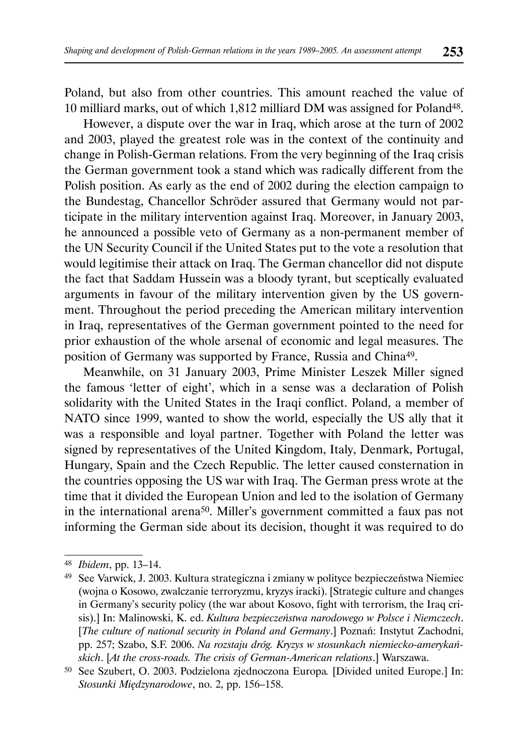Poland, but also from other countries. This amount reached the value of 10 milliard marks, out of which 1,812 milliard DM was assigned for Poland48.

However, a dispute over the war in Iraq, which arose at the turn of 2002 and 2003, played the greatest role was in the context of the continuity and change in Polish-German relations. From the very beginning of the Iraq crisis the German government took a stand which was radically different from the Polish position. As early as the end of 2002 during the election campaign to the Bundestag, Chancellor Schröder assured that Germany would not participate in the military intervention against Iraq. Moreover, in January 2003, he announced a possible veto of Germany as a non-permanent member of the UN Security Council if the United States put to the vote a resolution that would legitimise their attack on Iraq. The German chancellor did not dispute the fact that Saddam Hussein was a bloody tyrant, but sceptically evaluated arguments in favour of the military intervention given by the US government. Throughout the period preceding the American military intervention in Iraq, representatives of the German government pointed to the need for prior exhaustion of the whole arsenal of economic and legal measures. The position of Germany was supported by France, Russia and China49.

Meanwhile, on 31 January 2003, Prime Minister Leszek Miller signed the famous 'letter of eight', which in a sense was a declaration of Polish solidarity with the United States in the Iraqi conflict. Poland, a member of NATO since 1999, wanted to show the world, especially the US ally that it was a responsible and loyal partner. Together with Poland the letter was signed by representatives of the United Kingdom, Italy, Denmark, Portugal, Hungary, Spain and the Czech Republic. The letter caused consternation in the countries opposing the US war with Iraq. The German press wrote at the time that it divided the European Union and led to the isolation of Germany in the international arena50. Miller's government committed a faux pas not informing the German side about its decision, thought it was required to do

<sup>48</sup> *Ibidem*, pp. 13–14.

<sup>49</sup> See Varwick, J. 2003. Kultura strategiczna i zmiany w polityce bezpieczeństwa Niemiec (wojna o Kosowo, zwalczanie terroryzmu, kryzys iracki). [Strategic culture and changes in Germany's security policy (the war about Kosovo, fight with terrorism, the Iraq crisis).] In: Malinowski, K. ed. *Kultura bezpieczeństwa narodowego w Polsce i Niemczech*. [*The culture of national security in Poland and Germany*.] Poznań: Instytut Zachodni, pp. 257; Szabo, S.F. 2006. *Na rozstaju dróg. Kryzys w stosunkach niemiecko-amerykańskich*. [*At the cross-roads. The crisis of German-American relations*.] Warszawa.

<sup>50</sup> See Szubert, O. 2003. Podzielona zjednoczona Europa*.* [Divided united Europe.] In: *Stosunki Międzynarodowe*, no. 2, pp. 156–158.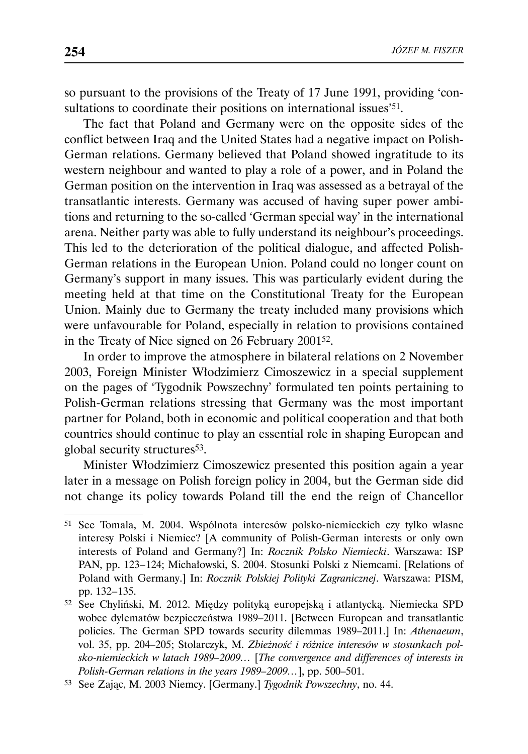so pursuant to the provisions of the Treaty of 17 June 1991, providing 'consultations to coordinate their positions on international issues<sup>'51</sup>.

The fact that Poland and Germany were on the opposite sides of the conflict between Iraq and the United States had a negative impact on Polish-German relations. Germany believed that Poland showed ingratitude to its western neighbour and wanted to play a role of a power, and in Poland the German position on the intervention in Iraq was assessed as a betrayal of the transatlantic interests. Germany was accused of having super power ambitions and returning to the so-called 'German special way' in the international arena. Neither party was able to fully understand its neighbour's proceedings. This led to the deterioration of the political dialogue, and affected Polish-German relations in the European Union. Poland could no longer count on Germany's support in many issues. This was particularly evident during the meeting held at that time on the Constitutional Treaty for the European Union. Mainly due to Germany the treaty included many provisions which were unfavourable for Poland, especially in relation to provisions contained in the Treaty of Nice signed on 26 February 200152.

In order to improve the atmosphere in bilateral relations on 2 November 2003, Foreign Minister Włodzimierz Cimoszewicz in a special supplement on the pages of 'Tygodnik Powszechny' formulated ten points pertaining to Polish-German relations stressing that Germany was the most important partner for Poland, both in economic and political cooperation and that both countries should continue to play an essential role in shaping European and global security structures<sup>53</sup>.

Minister Włodzimierz Cimoszewicz presented this position again a year later in a message on Polish foreign policy in 2004, but the German side did not change its policy towards Poland till the end the reign of Chancellor

<sup>51</sup> See Tomala, M. 2004. Wspólnota interesów polsko-niemieckich czy tylko własne interesy Polski i Niemiec? [A community of Polish-German interests or only own interests of Poland and Germany?] In: *Rocznik Polsko Niemiecki*. Warszawa: ISP PAN, pp. 123-124; Michałowski, S. 2004. Stosunki Polski z Niemcami. [Relations of Poland with Germany.] In: *Rocznik Polskiej Polityki Zagranicznej*. Warszawa: PISM, pp. 132-135.

<sup>52</sup> See Chyliński, M. 2012. Między polityką europejską i atlantycką. Niemiecka SPD wobec dylematów bezpieczeństwa 1989–2011. [Between European and transatlantic policies. The German SPD towards security dilemmas 1989–2011.] In: *Athenaeum*, vol. 35, pp. 204–205; Stolarczyk, M. *Zbieżność i różnice interesów w stosunkach polsko-niemieckich w latach 1989–2009…* [*The convergence and differences of interests in Polish-German relations in the years 1989–2009…*], pp. 500–501.

<sup>53</sup> See Zając, M. 2003 Niemcy. [Germany.] *Tygodnik Powszechny*, no. 44.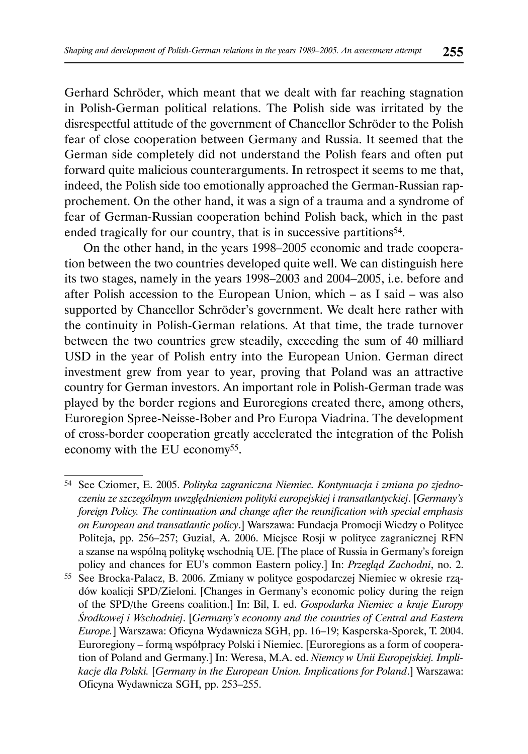Gerhard Schröder, which meant that we dealt with far reaching stagnation in Polish-German political relations. The Polish side was irritated by the disrespectful attitude of the government of Chancellor Schröder to the Polish fear of close cooperation between Germany and Russia. It seemed that the German side completely did not understand the Polish fears and often put forward quite malicious counterarguments. In retrospect it seems to me that, indeed, the Polish side too emotionally approached the German-Russian rapprochement. On the other hand, it was a sign of a trauma and a syndrome of fear of German-Russian cooperation behind Polish back, which in the past ended tragically for our country, that is in successive partitions<sup>54</sup>.

On the other hand, in the years 1998–2005 economic and trade cooperation between the two countries developed quite well. We can distinguish here its two stages, namely in the years 1998–2003 and 2004–2005, i.e. before and after Polish accession to the European Union, which – as I said – was also supported by Chancellor Schröder's government. We dealt here rather with the continuity in Polish-German relations. At that time, the trade turnover between the two countries grew steadily, exceeding the sum of 40 milliard USD in the year of Polish entry into the European Union. German direct investment grew from year to year, proving that Poland was an attractive country for German investors. An important role in Polish-German trade was played by the border regions and Euroregions created there, among others, Euroregion Spree-Neisse-Bober and Pro Europa Viadrina. The development of cross-border cooperation greatly accelerated the integration of the Polish economy with the EU economy55.

55 See Brocka-Palacz, B. 2006. Zmiany w polityce gospodarczej Niemiec w okresie rządów koalicji SPD/Zieloni. [Changes in Germany's economic policy during the reign of the SPD/the Greens coalition.] In: Bil, I. ed. *Gospodarka Niemiec a kraje Europy Środkowej i Wschodniej*. [*Germany's economy and the countries of Central and Eastern Europe.*] Warszawa: Oficyna Wydawnicza SGH, pp. 16–19; Kasperska-Sporek, T. 2004. Euroregiony – formą współpracy Polski i Niemiec. [Euroregions as a form of cooperation of Poland and Germany.] In: Weresa, M.A. ed. *Niemcy w Unii Europejskiej. Implikacje dla Polski.* [*Germany in the European Union. Implications for Poland*.] Warszawa: Oficyna Wydawnicza SGH, pp. 253–255.

<sup>54</sup> See Cziomer, E. 2005. *Polityka zagraniczna Niemiec. Kontynuacja i zmiana po zjednoczeniu ze szczególnym uwzględnieniem polityki europejskiej i transatlantyckiej*. [*Germany's foreign Policy. The continuation and change after the reunification with special emphasis on European and transatlantic policy*.] Warszawa: Fundacja Promocji Wiedzy o Polityce Politeja, pp. 256–257; Guział, A. 2006. Miejsce Rosji w polityce zagranicznej RFN a szanse na wspólną politykę wschodnią UE. [The place of Russia in Germany's foreign policy and chances for EU's common Eastern policy.] In: *Przegląd Zachodni*, no. 2.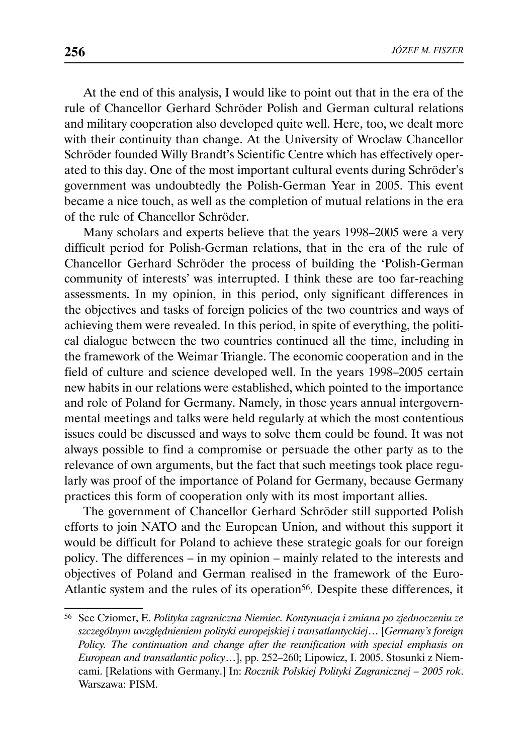At the end of this analysis, I would like to point out that in the era of the rule of Chancellor Gerhard Schröder Polish and German cultural relations and military cooperation also developed quite well. Here, too, we dealt more with their continuity than change. At the University of Wroclaw Chancellor Schröder founded Willy Brandt's Scientific Centre which has effectively operated to this day. One of the most important cultural events during Schröder's government was undoubtedly the Polish-German Year in 2005. This event became a nice touch, as well as the completion of mutual relations in the era of the rule of Chancellor Schröder.

Many scholars and experts believe that the years 1998–2005 were a very difficult period for Polish-German relations, that in the era of the rule of Chancellor Gerhard Schröder the process of building the 'Polish-German community of interests' was interrupted. I think these are too far-reaching assessments. In my opinion, in this period, only significant differences in the objectives and tasks of foreign policies of the two countries and ways of achieving them were revealed. In this period, in spite of everything, the political dialogue between the two countries continued all the time, including in the framework of the Weimar Triangle. The economic cooperation and in the field of culture and science developed well. In the years 1998–2005 certain new habits in our relations were established, which pointed to the importance and role of Poland for Germany. Namely, in those years annual intergovernmental meetings and talks were held regularly at which the most contentious issues could be discussed and ways to solve them could be found. It was not always possible to find a compromise or persuade the other party as to the relevance of own arguments, but the fact that such meetings took place regularly was proof of the importance of Poland for Germany, because Germany practices this form of cooperation only with its most important allies.

The government of Chancellor Gerhard Schröder still supported Polish efforts to join NATO and the European Union, and without this support it would be difficult for Poland to achieve these strategic goals for our foreign policy. The differences – in my opinion – mainly related to the interests and objectives of Poland and German realised in the framework of the Euro-Atlantic system and the rules of its operation<sup>56</sup>. Despite these differences, it

<sup>56</sup> See Cziomer, E. *Polityka zagraniczna Niemiec. Kontynuacja i zmiana po zjednoczeniu ze szczególnym uwzględnieniem polityki europejskiej i transatlantyckiej*… [*Germany's foreign Policy. The continuation and change after the reunification with special emphasis on European and transatlantic policy*…], pp. 252–260; Lipowicz, I. 2005. Stosunki z Niemcami. [Relations with Germany.] In: *Rocznik Polskiej Polityki Zagranicznej – 2005 rok*. Warszawa: PISM.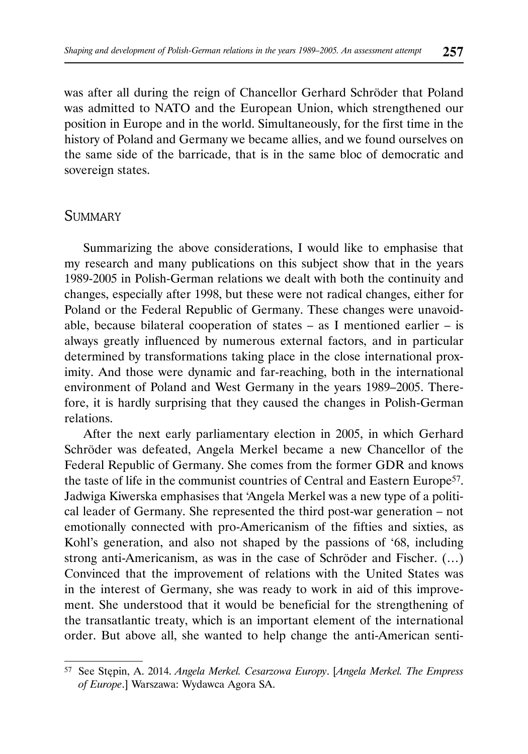was after all during the reign of Chancellor Gerhard Schröder that Poland was admitted to NATO and the European Union, which strengthened our position in Europe and in the world. Simultaneously, for the first time in the history of Poland and Germany we became allies, and we found ourselves on the same side of the barricade, that is in the same bloc of democratic and sovereign states.

### **SUMMARY**

Summarizing the above considerations, I would like to emphasise that my research and many publications on this subject show that in the years 1989-2005 in Polish-German relations we dealt with both the continuity and changes, especially after 1998, but these were not radical changes, either for Poland or the Federal Republic of Germany. These changes were unavoidable, because bilateral cooperation of states  $-$  as I mentioned earlier  $-$  is always greatly influenced by numerous external factors, and in particular determined by transformations taking place in the close international proximity. And those were dynamic and far-reaching, both in the international environment of Poland and West Germany in the years 1989–2005. Therefore, it is hardly surprising that they caused the changes in Polish-German relations.

After the next early parliamentary election in 2005, in which Gerhard Schröder was defeated, Angela Merkel became a new Chancellor of the Federal Republic of Germany. She comes from the former GDR and knows the taste of life in the communist countries of Central and Eastern Europe<sup>57</sup>. Jadwiga Kiwerska emphasises that 'Angela Merkel was a new type of a political leader of Germany. She represented the third post-war generation – not emotionally connected with pro-Americanism of the fifties and sixties, as Kohl's generation, and also not shaped by the passions of '68, including strong anti-Americanism, as was in the case of Schröder and Fischer. (…) Convinced that the improvement of relations with the United States was in the interest of Germany, she was ready to work in aid of this improvement. She understood that it would be beneficial for the strengthening of the transatlantic treaty, which is an important element of the international order. But above all, she wanted to help change the anti-American senti-

<sup>57</sup> See Stępin, A. 2014. *Angela Merkel. Cesarzowa Europy*. [*Angela Merkel. The Empress of Europe*.] Warszawa: Wydawca Agora SA.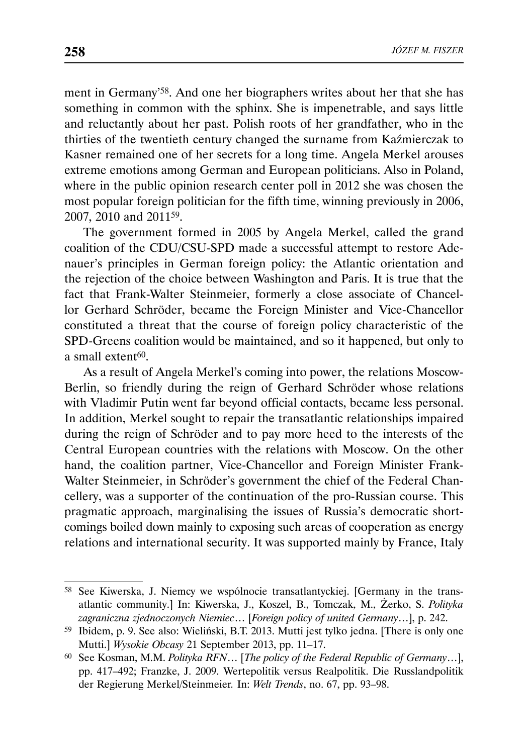ment in Germany'58. And one her biographers writes about her that she has something in common with the sphinx. She is impenetrable, and says little and reluctantly about her past. Polish roots of her grandfather, who in the thirties of the twentieth century changed the surname from Kaźmierczak to Kasner remained one of her secrets for a long time. Angela Merkel arouses extreme emotions among German and European politicians. Also in Poland, where in the public opinion research center poll in 2012 she was chosen the most popular foreign politician for the fifth time, winning previously in 2006, 2007, 2010 and 201159.

The government formed in 2005 by Angela Merkel, called the grand coalition of the CDU/CSU-SPD made a successful attempt to restore Adenauer's principles in German foreign policy: the Atlantic orientation and the rejection of the choice between Washington and Paris. It is true that the fact that Frank-Walter Steinmeier, formerly a close associate of Chancellor Gerhard Schröder, became the Foreign Minister and Vice-Chancellor constituted a threat that the course of foreign policy characteristic of the SPD-Greens coalition would be maintained, and so it happened, but only to a small extent<sup>60</sup>.

As a result of Angela Merkel's coming into power, the relations Moscow-Berlin, so friendly during the reign of Gerhard Schröder whose relations with Vladimir Putin went far beyond official contacts, became less personal. In addition, Merkel sought to repair the transatlantic relationships impaired during the reign of Schröder and to pay more heed to the interests of the Central European countries with the relations with Moscow. On the other hand, the coalition partner, Vice-Chancellor and Foreign Minister Frank-Walter Steinmeier, in Schröder's government the chief of the Federal Chancellery, was a supporter of the continuation of the pro-Russian course. This pragmatic approach, marginalising the issues of Russia's democratic shortcomings boiled down mainly to exposing such areas of cooperation as energy relations and international security. It was supported mainly by France, Italy

<sup>58</sup> See Kiwerska, J. Niemcy we wspólnocie transatlantyckiej. [Germany in the transatlantic community.] In: Kiwerska, J., Koszel, B., Tomczak, M., Żerko, S. *Polityka zagraniczna zjednoczonych Niemiec*… [*Foreign policy of united Germany*…], p. 242.

<sup>59</sup> Ibidem, p. 9. See also: Wieliński, B.T. 2013. Mutti jest tylko jedna. [There is only one Mutti.] *Wysokie Obcasy* 21 September 2013, pp. 11–17.

<sup>60</sup> See Kosman, M.M. *Polityka RFN*… [*The policy of the Federal Republic of Germany*…], pp. 417–492; Franzke, J. 2009. Wertepolitik versus Realpolitik. Die Russlandpolitik der Regierung Merkel/Steinmeier*.* In: *Welt Trends*, no. 67, pp. 93–98.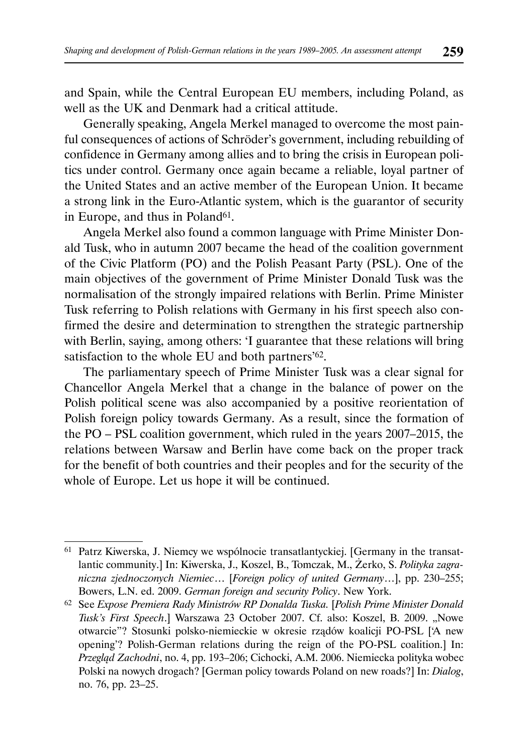and Spain, while the Central European EU members, including Poland, as well as the UK and Denmark had a critical attitude.

Generally speaking, Angela Merkel managed to overcome the most painful consequences of actions of Schröder's government, including rebuilding of confidence in Germany among allies and to bring the crisis in European politics under control. Germany once again became a reliable, loyal partner of the United States and an active member of the European Union. It became a strong link in the Euro-Atlantic system, which is the guarantor of security in Europe, and thus in Poland<sup>61</sup>.

Angela Merkel also found a common language with Prime Minister Donald Tusk, who in autumn 2007 became the head of the coalition government of the Civic Platform (PO) and the Polish Peasant Party (PSL). One of the main objectives of the government of Prime Minister Donald Tusk was the normalisation of the strongly impaired relations with Berlin. Prime Minister Tusk referring to Polish relations with Germany in his first speech also confirmed the desire and determination to strengthen the strategic partnership with Berlin, saying, among others: 'I guarantee that these relations will bring satisfaction to the whole EU and both partners'<sup>62</sup>.

The parliamentary speech of Prime Minister Tusk was a clear signal for Chancellor Angela Merkel that a change in the balance of power on the Polish political scene was also accompanied by a positive reorientation of Polish foreign policy towards Germany. As a result, since the formation of the PO – PSL coalition government, which ruled in the years 2007–2015, the relations between Warsaw and Berlin have come back on the proper track for the benefit of both countries and their peoples and for the security of the whole of Europe. Let us hope it will be continued.

<sup>61</sup> Patrz Kiwerska, J. Niemcy we wspólnocie transatlantyckiej. [Germany in the transatlantic community.] In: Kiwerska, J., Koszel, B., Tomczak, M., Żerko, S. *Polityka zagraniczna zjednoczonych Niemiec*… [*Foreign policy of united Germany*…], pp. 230–255; Bowers, L.N. ed. 2009. *German foreign and security Policy*. New York.

<sup>62</sup> See *Expose Premiera Rady Ministrów RP Donalda Tuska.* [*Polish Prime Minister Donald Tusk's First Speech*.] Warszawa 23 October 2007. Cf. also: Koszel, B. 2009. "Nowe otwarcie"? Stosunki polsko-niemieckie w okresie rządów koalicji PO-PSL ['A new opening'? Polish-German relations during the reign of the PO-PSL coalition.] In: *Przegląd Zachodni*, no. 4, pp. 193–206; Cichocki, A.M. 2006. Niemiecka polityka wobec Polski na nowych drogach? [German policy towards Poland on new roads?] In: *Dialog*, no. 76, pp. 23–25.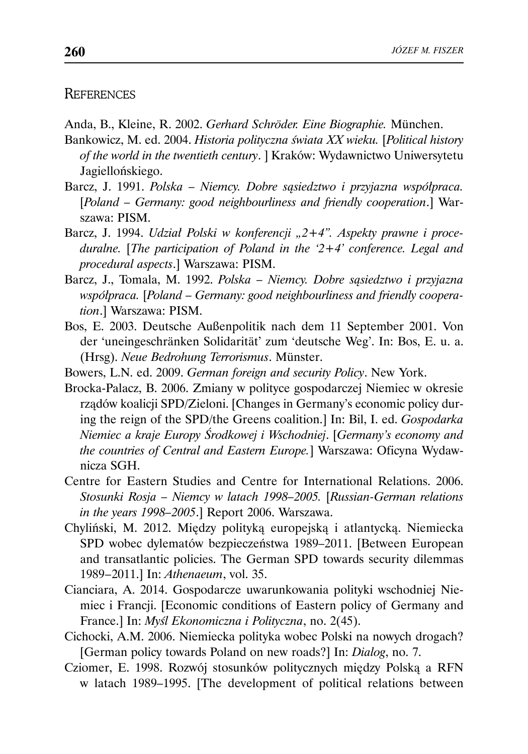#### **REFERENCES**

Anda, B., Kleine, R. 2002. *Gerhard Schröder. Eine Biographie.* München.

- Bankowicz, M. ed. 2004. *Historia polityczna świata XX wieku.* [*Political history of the world in the twentieth century*. ] Kraków: Wydawnictwo Uniwersytetu Jagiellońskiego.
- Barcz, J. 1991. *Polska Niemcy. Dobre sąsiedztwo i przyjazna współpraca.*  [*Poland – Germany: good neighbourliness and friendly cooperation*.] Warszawa: PISM.
- Barcz, J. 1994. *Udział Polski w konferencji "2+4". Aspekty prawne i proceduralne.* [*The participation of Poland in the '2+4' conference. Legal and procedural aspects*.] Warszawa: PISM.
- Barcz, J., Tomala, M. 1992. *Polska Niemcy. Dobre sąsiedztwo i przyjazna współpraca.* [*Poland – Germany: good neighbourliness and friendly cooperation*.] Warszawa: PISM.
- Bos, E. 2003. Deutsche Außenpolitik nach dem 11 September 2001. Von der 'uneingeschränken Solidarität' zum 'deutsche Weg'. In: Bos, E. u. a. (Hrsg). *Neue Bedrohung Terrorismus*. Münster.
- Bowers, L.N. ed. 2009. *German foreign and security Policy*. New York.
- Brocka-Palacz, B. 2006. Zmiany w polityce gospodarczej Niemiec w okresie rządów koalicji SPD/Zieloni. [Changes in Germany's economic policy during the reign of the SPD/the Greens coalition.] In: Bil, I. ed. *Gospodarka Niemiec a kraje Europy Środkowej i Wschodniej*. [*Germany's economy and the countries of Central and Eastern Europe.*] Warszawa: Oficyna Wydawnicza SGH.
- Centre for Eastern Studies and Centre for International Relations. 2006. *Stosunki Rosja – Niemcy w latach 1998–2005.* [*Russian-German relations in the years 1998–2005*.] Report 2006. Warszawa.
- Chyliński, M. 2012. Między polityką europejską i atlantycką. Niemiecka SPD wobec dylematów bezpieczeństwa 1989–2011. [Between European and transatlantic policies. The German SPD towards security dilemmas 1989 – 2011.] In: *Athenaeum*, vol. 35.
- Cianciara, A. 2014. Gospodarcze uwarunkowania polityki wschodniej Niemiec i Francji. [Economic conditions of Eastern policy of Germany and France.] In: *Myśl Ekonomiczna i Polityczna*, no. 2(45).
- Cichocki, A.M. 2006. Niemiecka polityka wobec Polski na nowych drogach? [German policy towards Poland on new roads?] In: *Dialog*, no. 7.
- Cziomer, E. 1998. Rozwój stosunków politycznych między Polską a RFN w latach 1989–1995. [The development of political relations between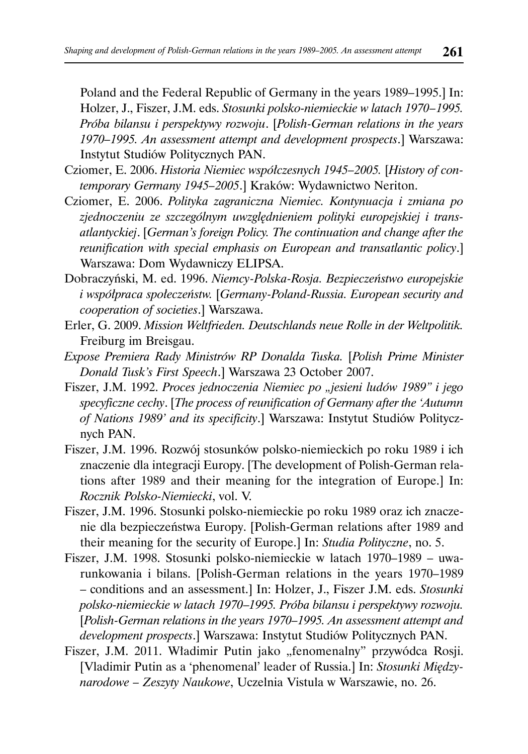Poland and the Federal Republic of Germany in the years 1989–1995.] In: Holzer, J., Fiszer, J.M. eds. *Stosunki polsko-niemieckie w latach 1970–1995*. *Próba bilansu i perspektywy rozwoju*. [*Polish-German relations in the years 1970–1995. An assessment attempt and development prospects*.] Warszawa: Instytut Studiów Politycznych PAN.

- Cziomer, E. 2006. *Historia Niemiec współczesnych 1945–2005.* [*History of contemporary Germany 1945–2005*.] Kraków: Wydawnictwo Neriton.
- Cziomer, E. 2006. *Polityka zagraniczna Niemiec. Kontynuacja i zmiana po zjednoczeniu ze szczególnym uwzględnieniem polityki europejskiej i transatlantyckiej*. [*German's foreign Policy. The continuation and change after the reunification with special emphasis on European and transatlantic policy*.] Warszawa: Dom Wydawniczy ELIPSA.
- Dobraczyński, M. ed. 1996. *Niemcy-Polska-Rosja. Bezpieczeństwo europejskie i współpraca społeczeństw.* [*Germany-Poland-Russia. European security and cooperation of societies*.] Warszawa.
- Erler, G. 2009. *Mission Weltfrieden. Deutschlands neue Rolle in der Weltpolitik.*  Freiburg im Breisgau.
- *Expose Premiera Rady Ministrów RP Donalda Tuska.* [*Polish Prime Minister Donald Tusk's First Speech*.] Warszawa 23 October 2007.
- Fiszer, J.M. 1992. Proces jednoczenia Niemiec po "jesieni ludów 1989" i jego *specyficzne cechy*. [*The process of reunification of Germany after the 'Autumn of Nations 1989' and its specificity*.] Warszawa: Instytut Studiów Politycznych PAN.
- Fiszer, J.M. 1996. Rozwój stosunków polsko-niemieckich po roku 1989 i ich znaczenie dla integracji Europy. [The development of Polish-German relations after 1989 and their meaning for the integration of Europe.] In: *Rocznik Polsko-Niemiecki*, vol. V.
- Fiszer, J.M. 1996. Stosunki polsko-niemieckie po roku 1989 oraz ich znaczenie dla bezpieczeństwa Europy. [Polish-German relations after 1989 and their meaning for the security of Europe.] In: *Studia Polityczne*, no. 5.
- Fiszer, J.M. 1998. Stosunki polsko-niemieckie w latach 1970–1989 uwarunkowania i bilans. [Polish-German relations in the years 1970–1989 – conditions and an assessment.] In: Holzer, J., Fiszer J.M. eds. *Stosunki polsko-niemieckie w latach 1970*–*1995. Próba bilansu i perspektywy rozwoju.*  [*Polish-German relations in the years 1970–1995. An assessment attempt and development prospects*.] Warszawa: Instytut Studiów Politycznych PAN.
- Fiszer, J.M. 2011. Władimir Putin jako "fenomenalny" przywódca Rosji. [Vladimir Putin as a 'phenomenal' leader of Russia.] In: *Stosunki Międzynarodowe – Zeszyty Naukowe*, Uczelnia Vistula w Warszawie, no. 26.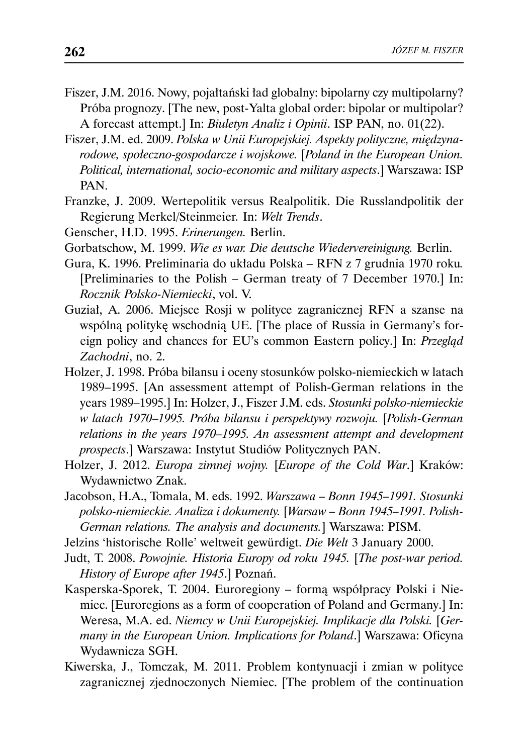- Fiszer, J.M. 2016. Nowy, pojałtański ład globalny: bipolarny czy multipolarny? Próba prognozy. [The new, post-Yalta global order: bipolar or multipolar? A forecast attempt.] In: *Biuletyn Analiz i Opinii*. ISP PAN, no. 01(22).
- Fiszer, J.M. ed. 2009. *Polska w Unii Europejskiej. Aspekty polityczne, międzynarodowe, społeczno-gospodarcze i wojskowe.* [*Poland in the European Union. Political, international, socio-economic and military aspects*.] Warszawa: ISP PAN.
- Franzke, J. 2009. Wertepolitik versus Realpolitik. Die Russlandpolitik der Regierung Merkel/Steinmeier*.* In: *Welt Trends*.
- Genscher, H.D. 1995. *Erinerungen.* Berlin.
- Gorbatschow, M. 1999. *Wie es war. Die deutsche Wiedervereinigung.* Berlin.
- Gura, K. 1996. Preliminaria do układu Polska RFN z 7 grudnia 1970 roku*.*  [Preliminaries to the Polish – German treaty of 7 December 1970.] In: *Rocznik Polsko-Niemiecki*, vol. V.
- Guział, A. 2006. Miejsce Rosji w polityce zagranicznej RFN a szanse na wspólną politykę wschodnią UE. [The place of Russia in Germany's foreign policy and chances for EU's common Eastern policy.] In: *Przegląd Zachodni*, no. 2.
- Holzer, J. 1998. Próba bilansu i oceny stosunków polsko-niemieckich w latach 1989–1995. [An assessment attempt of Polish-German relations in the years 1989–1995.] In: Holzer, J., Fiszer J.M. eds. *Stosunki polsko-niemieckie w latach 1970*–*1995. Próba bilansu i perspektywy rozwoju.* [*Polish-German relations in the years 1970–1995. An assessment attempt and development prospects*.] Warszawa: Instytut Studiów Politycznych PAN.
- Holzer, J. 2012. *Europa zimnej wojny.* [*Europe of the Cold War*.] Kraków: Wydawnictwo Znak.
- Jacobson, H.A., Tomala, M. eds. 1992. *Warszawa Bonn 1945–1991. Stosunki polsko-niemieckie. Analiza i dokumenty.* [*Warsaw – Bonn 1945–1991. Polish-German relations. The analysis and documents.*] Warszawa: PISM.
- Jelzins 'historische Rolle' weltweit gewürdigt. *Die Welt* 3 January 2000.
- Judt, T. 2008. *Powojnie. Historia Europy od roku 1945.* [*The post-war period. History of Europe after 1945*.] Poznań.
- Kasperska-Sporek, T. 2004. Euroregiony formą współpracy Polski i Niemiec. [Euroregions as a form of cooperation of Poland and Germany.] In: Weresa, M.A. ed. *Niemcy w Unii Europejskiej. Implikacje dla Polski.* [*Germany in the European Union. Implications for Poland*.] Warszawa: Oficyna Wydawnicza SGH.
- Kiwerska, J., Tomczak, M. 2011. Problem kontynuacji i zmian w polityce zagranicznej zjednoczonych Niemiec. [The problem of the continuation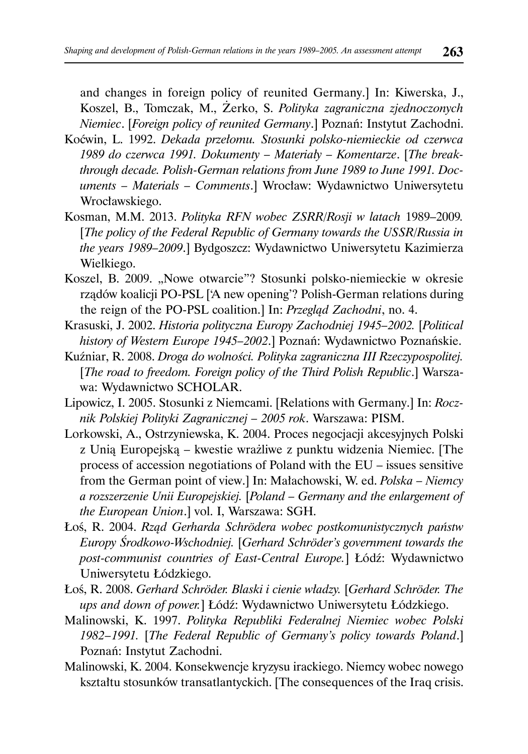and changes in foreign policy of reunited Germany.] In: Kiwerska, J., Koszel, B., Tomczak, M., Żerko, S. *Polityka zagraniczna zjednoczonych Niemiec*. [*Foreign policy of reunited Germany*.] Poznań: Instytut Zachodni.

- Koćwin, L. 1992. *Dekada przełomu. Stosunki polsko-niemieckie od czerwca 1989 do czerwca 1991. Dokumenty – Materiały – Komentarze*. [*The breakthrough decade. Polish-German relations from June 1989 to June 1991. Documents – Materials – Comments*.] Wrocław: Wydawnictwo Uniwersytetu Wrocławskiego.
- Kosman, M.M. 2013. *Polityka RFN wobec ZSRR/Rosji w latach* 1989–2009*.*  [*The policy of the Federal Republic of Germany towards the USSR/Russia in the years 1989–2009*.] Bydgoszcz: Wydawnictwo Uniwersytetu Kazimierza Wielkiego.
- Koszel, B. 2009. "Nowe otwarcie"? Stosunki polsko-niemieckie w okresie rządów koalicji PO-PSL ['A new opening'? Polish-German relations during the reign of the PO-PSL coalition.] In: *Przegląd Zachodni*, no. 4.
- Krasuski, J. 2002. *Historia polityczna Europy Zachodniej 1945–2002.* [*Political history of Western Europe 1945–2002*.] Poznań: Wydawnictwo Poznańskie.
- Kuźniar, R. 2008. *Droga do wolności. Polityka zagraniczna III Rzeczypospolitej.*  [*The road to freedom. Foreign policy of the Third Polish Republic*.] Warszawa: Wydawnictwo SCHOLAR.
- Lipowicz, I. 2005. Stosunki z Niemcami. [Relations with Germany.] In: *Rocznik Polskiej Polityki Zagranicznej – 2005 rok*. Warszawa: PISM.
- Lorkowski, A., Ostrzyniewska, K. 2004. Proces negocjacji akcesyjnych Polski z Unią Europejską – kwestie wrażliwe z punktu widzenia Niemiec. [The process of accession negotiations of Poland with the EU – issues sensitive from the German point of view.] In: Małachowski, W. ed. *Polska – Niemcy a rozszerzenie Unii Europejskiej.* [*Poland – Germany and the enlargement of the European Union*.] vol. I, Warszawa: SGH.
- Łoś, R. 2004. *Rząd Gerharda Schrödera wobec postkomunistycznych państw Europy Środkowo-Wschodniej.* [*Gerhard Schröder's government towards the post-communist countries of East-Central Europe.*] Łódź: Wydawnictwo Uniwersytetu Łódzkiego.
- Łoś, R. 2008. *Gerhard Schröder. Blaski i cienie władzy.* [*Gerhard Schröder. The ups and down of power.*] Łódź: Wydawnictwo Uniwersytetu Łódzkiego.
- Malinowski, K. 1997. *Polityka Republiki Federalnej Niemiec wobec Polski 1982 – 1991.* [*The Federal Republic of Germany's policy towards Poland*.] Poznań: Instytut Zachodni.
- Malinowski, K. 2004. Konsekwencje kryzysu irackiego. Niemcy wobec nowego kształtu stosunków transatlantyckich. [The consequences of the Iraq crisis.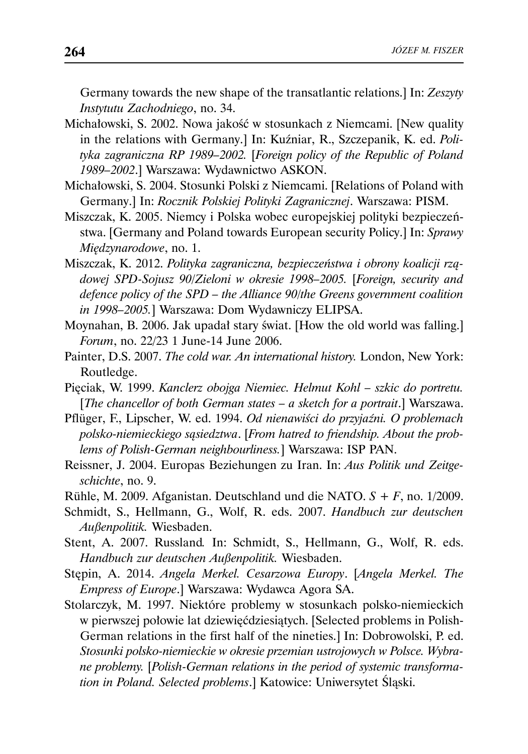Germany towards the new shape of the transatlantic relations.] In: *Zeszyty Instytutu Zachodniego*, no. 34.

- Michałowski, S. 2002. Nowa jakość w stosunkach z Niemcami. [New quality in the relations with Germany.] In: Kuźniar, R., Szczepanik, K. ed. *Polityka zagraniczna RP 1989–2002.* [*Foreign policy of the Republic of Poland 1989–2002*.] Warszawa: Wydawnictwo ASKON.
- Michałowski, S. 2004. Stosunki Polski z Niemcami. [Relations of Poland with Germany.] In: *Rocznik Polskiej Polityki Zagranicznej*. Warszawa: PISM.
- Miszczak, K. 2005. Niemcy i Polska wobec europejskiej polityki bezpieczeństwa. [Germany and Poland towards European security Policy.] In: *Sprawy Międzynarodowe*, no. 1.
- Miszczak, K. 2012. *Polityka zagraniczna, bezpieczeństwa i obrony koalicji rządowej SPD-Sojusz 90/Zieloni w okresie 1998–2005.* [*Foreign, security and defence policy of the SPD – the Alliance 90/the Greens government coalition in 1998–2005.*] Warszawa: Dom Wydawniczy ELIPSA.
- Moynahan, B. 2006. Jak upadał stary świat. [How the old world was falling.] *Forum*, no. 22/23 1 June-14 June 2006.
- Painter, D.S. 2007. *The cold war. An international history.* London, New York: Routledge.
- Pięciak, W. 1999. *Kanclerz obojga Niemiec. Helmut Kohl szkic do portretu.*  [*The chancellor of both German states – a sketch for a portrait*.] Warszawa.
- Pflüger, F., Lipscher, W. ed. 1994. *Od nienawiści do przyjaźni. O problemach polsko-niemieckiego sąsiedztwa*. [*From hatred to friendship. About the problems of Polish-German neighbourliness.*] Warszawa: ISP PAN.
- Reissner, J. 2004. Europas Beziehungen zu Iran. In: *Aus Politik und Zeitgeschichte*, no. 9.
- Rühle, M. 2009. Afganistan. Deutschland und die NATO. *S + F*, no. 1/2009.
- Schmidt, S., Hellmann, G., Wolf, R. eds. 2007. *Handbuch zur deutschen Außenpolitik.* Wiesbaden.
- Stent, A. 2007. Russland*.* In: Schmidt, S., Hellmann, G., Wolf, R. eds. *Handbuch zur deutschen Außenpolitik.* Wiesbaden.
- Stępin, A. 2014. *Angela Merkel. Cesarzowa Europy*. [*Angela Merkel. The Empress of Europe*.] Warszawa: Wydawca Agora SA.
- Stolarczyk, M. 1997. Niektóre problemy w stosunkach polsko-niemieckich w pierwszej połowie lat dziewięćdziesiątych. [Selected problems in Polish-German relations in the first half of the nineties.] In: Dobrowolski, P. ed. *Stosunki polsko-niemieckie w okresie przemian ustrojowych w Polsce. Wybrane problemy.* [*Polish-German relations in the period of systemic transformation in Poland. Selected problems*.] Katowice: Uniwersytet Śląski.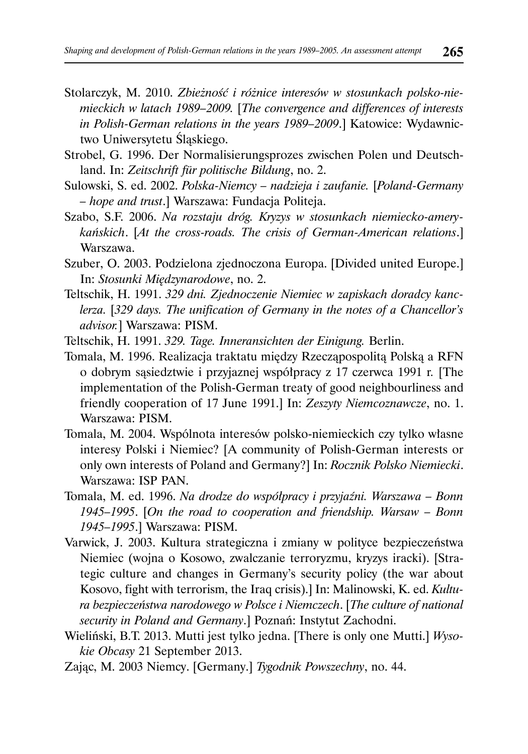- Stolarczyk, M. 2010. *Zbieżność i różnice interesów w stosunkach polsko-niemieckich w latach 1989–2009.* [*The convergence and differences of interests in Polish-German relations in the years 1989–2009*.] Katowice: Wydawnictwo Uniwersytetu Śląskiego.
- Strobel, G. 1996. Der Normalisierungsprozes zwischen Polen und Deutschland. In: *Zeitschrift für politische Bildung*, no. 2.
- Sulowski, S. ed. 2002. *Polska-Niemcy nadzieja i zaufanie.* [*Poland-Germany – hope and trust*.] Warszawa: Fundacja Politeja.
- Szabo, S.F. 2006. *Na rozstaju dróg. Kryzys w stosunkach niemiecko-amerykańskich*. [*At the cross-roads. The crisis of German-American relations*.] Warszawa.
- Szuber, O. 2003. Podzielona zjednoczona Europa. [Divided united Europe.] In: *Stosunki Międzynarodowe*, no. 2.
- Teltschik, H. 1991. *329 dni. Zjednoczenie Niemiec w zapiskach doradcy kanclerza.* [*329 days. The unification of Germany in the notes of a Chancellor's advisor.*] Warszawa: PISM.
- Teltschik, H. 1991. *329. Tage. Inneransichten der Einigung.* Berlin.
- Tomala, M. 1996. Realizacja traktatu między Rzecząpospolitą Polską a RFN o dobrym sąsiedztwie i przyjaznej współpracy z 17 czerwca 1991 r*.* [The implementation of the Polish-German treaty of good neighbourliness and friendly cooperation of 17 June 1991.] In: *Zeszyty Niemcoznawcze*, no. 1. Warszawa: PISM.
- Tomala, M. 2004. Wspólnota interesów polsko-niemieckich czy tylko własne interesy Polski i Niemiec? [A community of Polish-German interests or only own interests of Poland and Germany?] In: *Rocznik Polsko Niemiecki*. Warszawa: ISP PAN.
- Tomala, M. ed. 1996. *Na drodze do współpracy i przyjaźni. Warszawa Bonn 1945–1995*. [*On the road to cooperation and friendship. Warsaw – Bonn 1945–1995*.] Warszawa: PISM.
- Varwick, J. 2003. Kultura strategiczna i zmiany w polityce bezpieczeństwa Niemiec (wojna o Kosowo, zwalczanie terroryzmu, kryzys iracki). [Strategic culture and changes in Germany's security policy (the war about Kosovo, fight with terrorism, the Iraq crisis).] In: Malinowski, K. ed. *Kultura bezpieczeństwa narodowego w Polsce i Niemczech*. [*The culture of national security in Poland and Germany*.] Poznań: Instytut Zachodni.
- Wieliński, B.T. 2013. Mutti jest tylko jedna. [There is only one Mutti.] *Wysokie Obcasy* 21 September 2013.
- Zając, M. 2003 Niemcy. [Germany.] *Tygodnik Powszechny*, no. 44.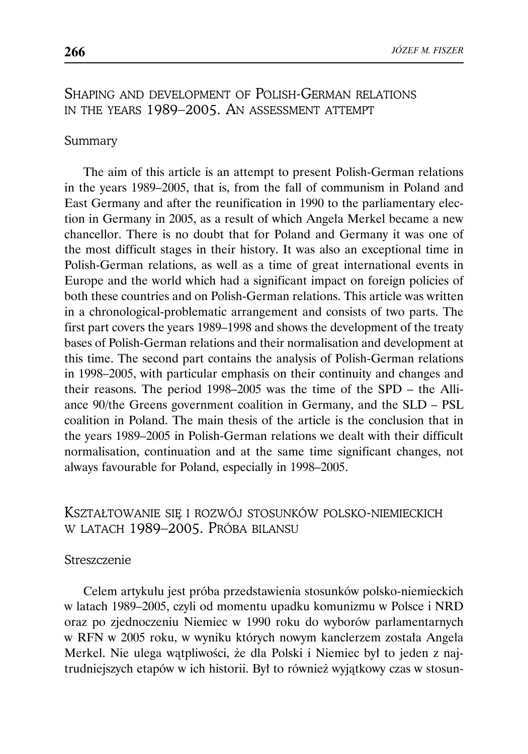# SHAPING AND DEVELOPMENT OF POLISH-GERMAN RELATIONS IN THE YEARS 1989–2005. AN ASSESSMENT ATTEMPT

#### Summary

The aim of this article is an attempt to present Polish-German relations in the years 1989–2005, that is, from the fall of communism in Poland and East Germany and after the reunification in 1990 to the parliamentary election in Germany in 2005, as a result of which Angela Merkel became a new chancellor. There is no doubt that for Poland and Germany it was one of the most difficult stages in their history. It was also an exceptional time in Polish-German relations, as well as a time of great international events in Europe and the world which had a significant impact on foreign policies of both these countries and on Polish-German relations. This article was written in a chronological-problematic arrangement and consists of two parts. The first part covers the years 1989–1998 and shows the development of the treaty bases of Polish-German relations and their normalisation and development at this time. The second part contains the analysis of Polish-German relations in 1998–2005, with particular emphasis on their continuity and changes and their reasons. The period 1998–2005 was the time of the SPD – the Alliance 90/the Greens government coalition in Germany, and the SLD – PSL coalition in Poland. The main thesis of the article is the conclusion that in the years 1989–2005 in Polish-German relations we dealt with their difficult normalisation, continuation and at the same time significant changes, not always favourable for Poland, especially in 1998–2005.

# KSZTAŁTOWANIE SIĘ I ROZWÓJ STOSUNKÓW POLSKO-NIEMIECKICH W LATACH 1989–2005. PRÓBA BILANSU

#### **Streszczenie**

Celem artykułu jest próba przedstawienia stosunków polsko-niemieckich w latach 1989–2005, czyli od momentu upadku komunizmu w Polsce i NRD oraz po zjednoczeniu Niemiec w 1990 roku do wyborów parlamentarnych w RFN w 2005 roku, w wyniku których nowym kanclerzem została Angela Merkel. Nie ulega wątpliwości, że dla Polski i Niemiec był to jeden z najtrudniejszych etapów w ich historii. Był to również wyjątkowy czas w stosun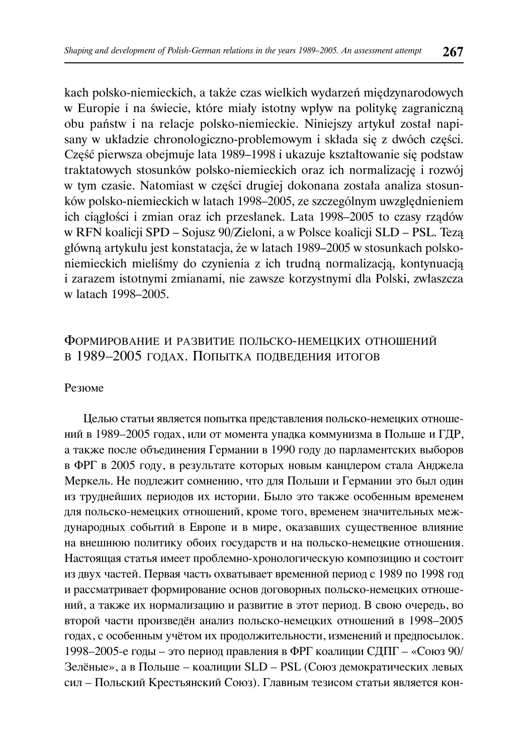kach polsko-niemieckich, a także czas wielkich wydarzeń międzynarodowych w Europie i na świecie, które miały istotny wpływ na politykę zagraniczną obu państw i na relacje polsko-niemieckie. Niniejszy artykuł został napisany w układzie chronologiczno-problemowym i składa się z dwóch części. Część pierwsza obejmuje lata 1989–1998 i ukazuje kształtowanie się podstaw traktatowych stosunków polsko-niemieckich oraz ich normalizację i rozwój w tym czasie. Natomiast w części drugiej dokonana została analiza stosunków polsko-niemieckich w latach 1998–2005, ze szczególnym uwzględnieniem ich ciągłości i zmian oraz ich przesłanek. Lata 1998–2005 to czasy rządów w RFN koalicji SPD – Sojusz 90/Zieloni, a w Polsce koalicji SLD – PSL. Tezą główną artykułu jest konstatacja, że w latach 1989–2005 w stosunkach polskoniemieckich mieliśmy do czynienia z ich trudną normalizacją, kontynuacją i zarazem istotnymi zmianami, nie zawsze korzystnymi dla Polski, zwłaszcza w latach 1998–2005.

# ФОРМИРОВАНИЕ И РАЗВИТИЕ ПОЛЬСКО-НЕМЕЦКИХ ОТНОШЕНИЙ В 1989–2005 ГОДАХ. ПОПЫТКА ПОДВЕДЕНИЯ ИТОГОВ

#### Резюме

Целью статьи является попытка представления польско-немецких отношений в 1989–2005 годах, или от момента упадка коммунизма в Польше и ГДР, а также после объединения Германии в 1990 году до парламентских выборов в ФРГ в 2005 году, в результате которых новым канцлером стала Анджела Меркель. Не подлежит сомнению, что для Польши и Германии это был один из труднейших периодов их истории. Было это также особенным временем для польско-немецких отношений, кроме того, временем значительных международных событий в Европе и в мире, оказавших существенное влияние на внешнюю политику обоих государств и на польско-немецкие отношения. Настоящая статья имеет проблемно-хронологическую композицию и состоит из двух частей. Первая часть охватывает временной период с 1989 по 1998 год и рассматривает формирование основ договорных польско-немецких отношений, а также их нормализацию и развитие в этот период. В свою очередь, во второй части произведён анализ польско-немецких отношений в 1998–2005 годах, с особенным учётом их продолжительности, изменений и предпосылок. 1998–2005-е годы – это период правления в ФРГ коалиции СДПГ – «Союз 90/ Зелёные», а в Польше – коалиции SLD – PSL (Союз демократических левых сил – Польский Крестьянский Союз). Главным тезисом статьи является кон